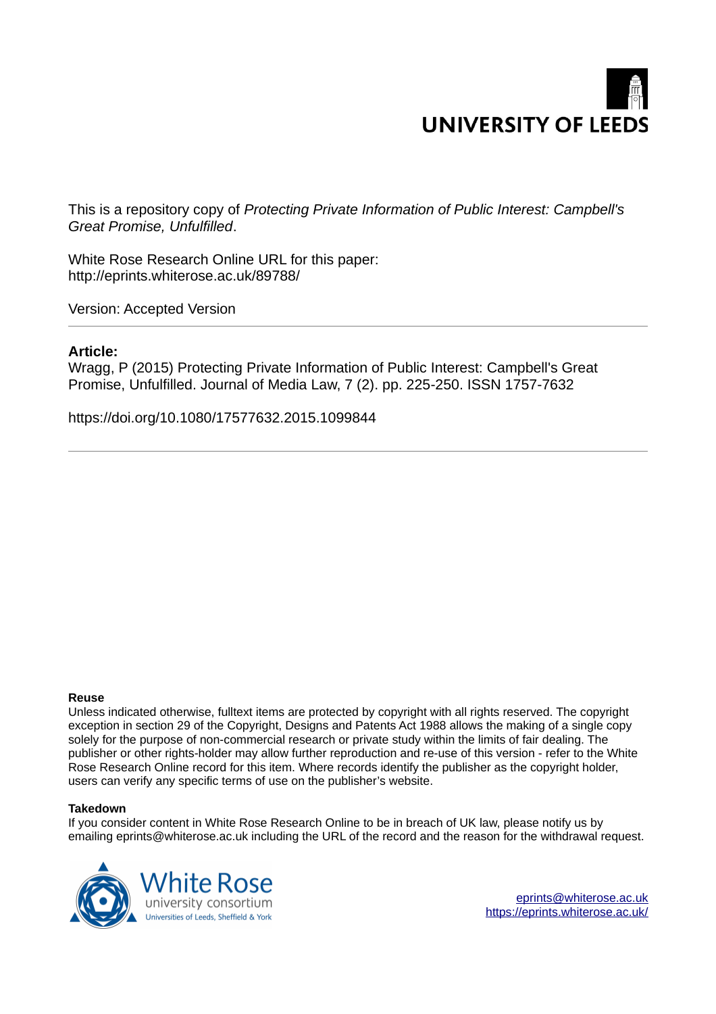

This is a repository copy of *Protecting Private Information of Public Interest: Campbell's Great Promise, Unfulfilled*.

<span id="page-0-0"></span>White Rose Research Online URL for this paper: http://eprints.whiterose.ac.uk/89788/

Version: Accepted Version

#### **Article:**

Wragg, P (2015) Protecting Private Information of Public Interest: Campbell's Great Promise, Unfulfilled. Journal of Media Law, 7 (2). pp. 225-250. ISSN 1757-7632

https://doi.org/10.1080/17577632.2015.1099844

#### **Reuse**

Unless indicated otherwise, fulltext items are protected by copyright with all rights reserved. The copyright exception in section 29 of the Copyright, Designs and Patents Act 1988 allows the making of a single copy solely for the purpose of non-commercial research or private study within the limits of fair dealing. The publisher or other rights-holder may allow further reproduction and re-use of this version - refer to the White Rose Research Online record for this item. Where records identify the publisher as the copyright holder, users can verify any specific terms of use on the publisher's website.

#### **Takedown**

If you consider content in White Rose Research Online to be in breach of UK law, please notify us by emailing eprints@whiterose.ac.uk including the URL of the record and the reason for the withdrawal request.

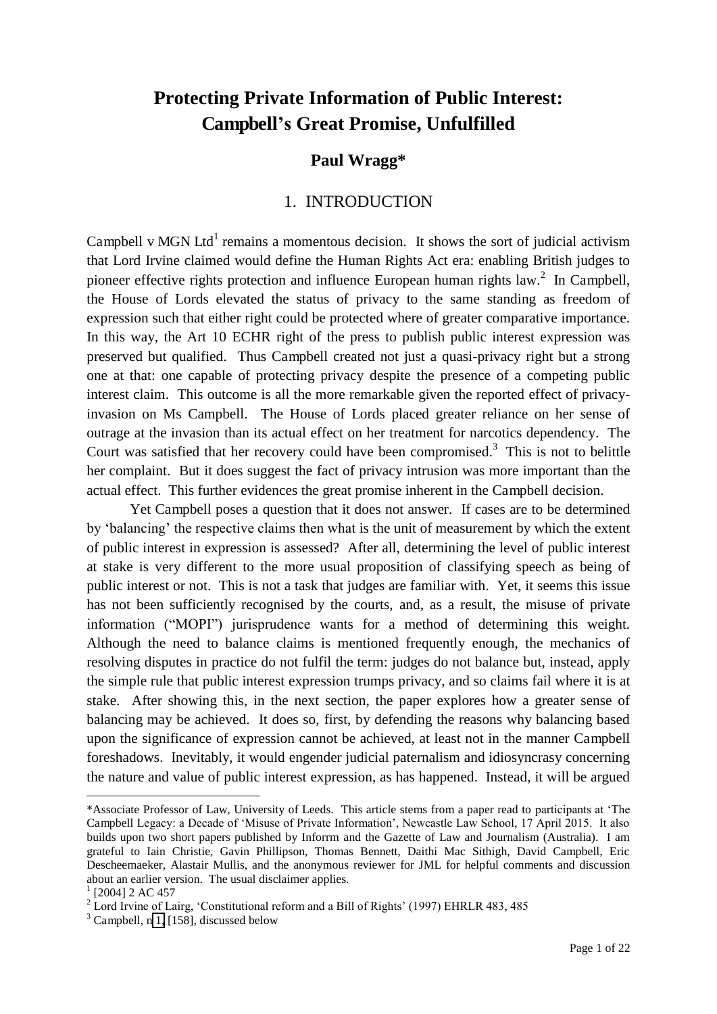# **Protecting Private Information of Public Interest: Campbell's Great Promise, Unfulfilled**

## **Paul Wragg\***

### 1. INTRODUCTION

Campbell v MGN Ltd<sup>1</sup> remains a momentous decision. It shows the sort of judicial activism that Lord Irvine claimed would define the Human Rights Act era: enabling British judges to pioneer effective rights protection and influence European human rights  $law<sup>2</sup>$  In Campbell, the House of Lords elevated the status of privacy to the same standing as freedom of expression such that either right could be protected where of greater comparative importance. In this way, the Art 10 ECHR right of the press to publish public interest expression was preserved but qualified. Thus Campbell created not just a quasi-privacy right but a strong one at that: one capable of protecting privacy despite the presence of a competing public interest claim. This outcome is all the more remarkable given the reported effect of privacyinvasion on Ms Campbell. The House of Lords placed greater reliance on her sense of outrage at the invasion than its actual effect on her treatment for narcotics dependency. The Court was satisfied that her recovery could have been compromised.<sup>3</sup> This is not to belittle her complaint. But it does suggest the fact of privacy intrusion was more important than the actual effect. This further evidences the great promise inherent in the Campbell decision.

Yet Campbell poses a question that it does not answer. If cases are to be determined by 'balancing' the respective claims then what is the unit of measurement by which the extent of public interest in expression is assessed? After all, determining the level of public interest at stake is very different to the more usual proposition of classifying speech as being of public interest or not. This is not a task that judges are familiar with. Yet, it seems this issue has not been sufficiently recognised by the courts, and, as a result, the misuse of private information ("MOPI") jurisprudence wants for a method of determining this weight. Although the need to balance claims is mentioned frequently enough, the mechanics of resolving disputes in practice do not fulfil the term: judges do not balance but, instead, apply the simple rule that public interest expression trumps privacy, and so claims fail where it is at stake. After showing this, in the next section, the paper explores how a greater sense of balancing may be achieved. It does so, first, by defending the reasons why balancing based upon the significance of expression cannot be achieved, at least not in the manner Campbell foreshadows. Inevitably, it would engender judicial paternalism and idiosyncrasy concerning the nature and value of public interest expression, as has happened. Instead, it will be argued  $\overline{a}$ 

<sup>\*</sup>Associate Professor of Law, University of Leeds. This article stems from a paper read to participants at 'The Campbell Legacy: a Decade of 'Misuse of Private Information', Newcastle Law School, 17 April 2015. It also builds upon two short papers published by Inforrm and the Gazette of Law and Journalism (Australia). I am grateful to Iain Christie, Gavin Phillipson, Thomas Bennett, Daithi Mac Sithigh, David Campbell, Eric Descheemaeker, Alastair Mullis, and the anonymous reviewer for JML for helpful comments and discussion about an earlier version. The usual disclaimer applies.

 $1$  [2004] 2 AC 457

<sup>&</sup>lt;sup>2</sup> Lord Irvine of Lairg, 'Constitutional reform and a Bill of Rights' (1997) EHRLR 483, 485

<sup>3</sup> Campbell, n [1,](#page-0-0) [158], discussed below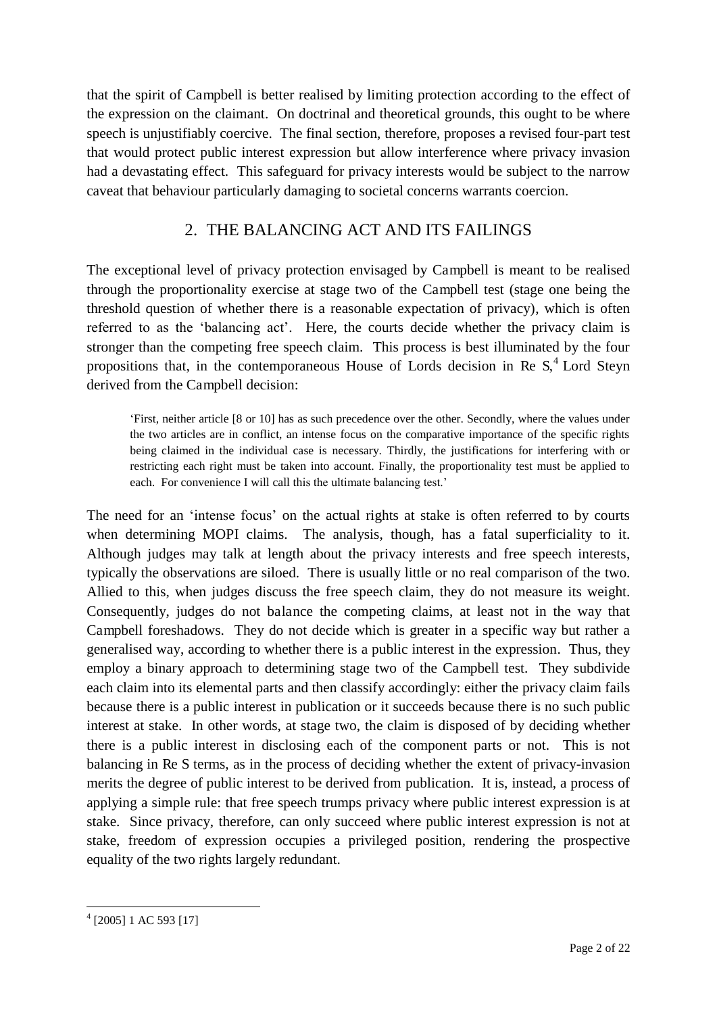that the spirit of Campbell is better realised by limiting protection according to the effect of the expression on the claimant. On doctrinal and theoretical grounds, this ought to be where speech is unjustifiably coercive. The final section, therefore, proposes a revised four-part test that would protect public interest expression but allow interference where privacy invasion had a devastating effect. This safeguard for privacy interests would be subject to the narrow caveat that behaviour particularly damaging to societal concerns warrants coercion.

## <span id="page-2-0"></span>2. THE BALANCING ACT AND ITS FAILINGS

The exceptional level of privacy protection envisaged by Campbell is meant to be realised through the proportionality exercise at stage two of the Campbell test (stage one being the threshold question of whether there is a reasonable expectation of privacy), which is often referred to as the 'balancing act'. Here, the courts decide whether the privacy claim is stronger than the competing free speech claim. This process is best illuminated by the four propositions that, in the contemporaneous House of Lords decision in Re  $S<sub>1</sub><sup>4</sup>$  Lord Steyn derived from the Campbell decision:

'First, neither article [8 or 10] has as such precedence over the other. Secondly, where the values under the two articles are in conflict, an intense focus on the comparative importance of the specific rights being claimed in the individual case is necessary. Thirdly, the justifications for interfering with or restricting each right must be taken into account. Finally, the proportionality test must be applied to each. For convenience I will call this the ultimate balancing test.'

<span id="page-2-1"></span>The need for an 'intense focus' on the actual rights at stake is often referred to by courts when determining MOPI claims. The analysis, though, has a fatal superficiality to it. Although judges may talk at length about the privacy interests and free speech interests, typically the observations are siloed. There is usually little or no real comparison of the two. Allied to this, when judges discuss the free speech claim, they do not measure its weight. Consequently, judges do not balance the competing claims, at least not in the way that Campbell foreshadows. They do not decide which is greater in a specific way but rather a generalised way, according to whether there is a public interest in the expression. Thus, they employ a binary approach to determining stage two of the Campbell test. They subdivide each claim into its elemental parts and then classify accordingly: either the privacy claim fails because there is a public interest in publication or it succeeds because there is no such public interest at stake. In other words, at stage two, the claim is disposed of by deciding whether there is a public interest in disclosing each of the component parts or not. This is not balancing in Re S terms, as in the process of deciding whether the extent of privacy-invasion merits the degree of public interest to be derived from publication. It is, instead, a process of applying a simple rule: that free speech trumps privacy where public interest expression is at stake. Since privacy, therefore, can only succeed where public interest expression is not at stake, freedom of expression occupies a privileged position, rendering the prospective equality of the two rights largely redundant.

<sup>4</sup> [2005] 1 AC 593 [17]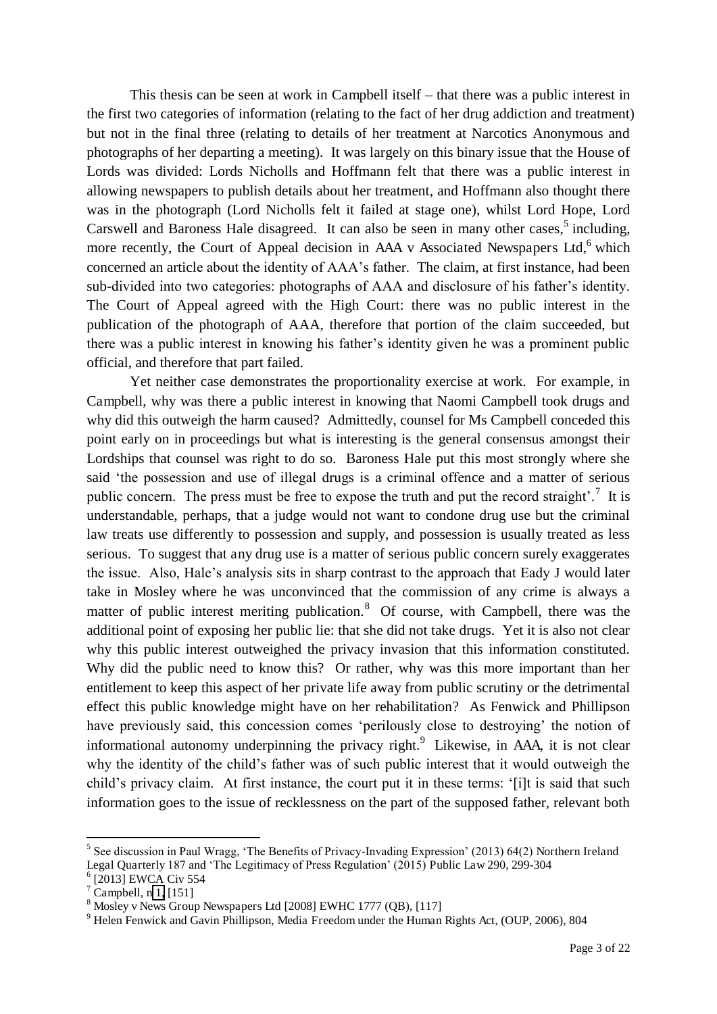This thesis can be seen at work in Campbell itself – that there was a public interest in the first two categories of information (relating to the fact of her drug addiction and treatment) but not in the final three (relating to details of her treatment at Narcotics Anonymous and photographs of her departing a meeting). It was largely on this binary issue that the House of Lords was divided: Lords Nicholls and Hoffmann felt that there was a public interest in allowing newspapers to publish details about her treatment, and Hoffmann also thought there was in the photograph (Lord Nicholls felt it failed at stage one), whilst Lord Hope, Lord Carswell and Baroness Hale disagreed. It can also be seen in many other cases, $5$  including, more recently, the Court of Appeal decision in AAA v Associated Newspapers Ltd,<sup>6</sup> which concerned an article about the identity of AAA's father. The claim, at first instance, had been sub-divided into two categories: photographs of AAA and disclosure of his father's identity. The Court of Appeal agreed with the High Court: there was no public interest in the publication of the photograph of AAA, therefore that portion of the claim succeeded, but there was a public interest in knowing his father's identity given he was a prominent public official, and therefore that part failed.

 Yet neither case demonstrates the proportionality exercise at work. For example, in Campbell, why was there a public interest in knowing that Naomi Campbell took drugs and why did this outweigh the harm caused? Admittedly, counsel for Ms Campbell conceded this point early on in proceedings but what is interesting is the general consensus amongst their Lordships that counsel was right to do so. Baroness Hale put this most strongly where she said 'the possession and use of illegal drugs is a criminal offence and a matter of serious public concern. The press must be free to expose the truth and put the record straight'.<sup>7</sup> It is understandable, perhaps, that a judge would not want to condone drug use but the criminal law treats use differently to possession and supply, and possession is usually treated as less serious. To suggest that any drug use is a matter of serious public concern surely exaggerates the issue. Also, Hale's analysis sits in sharp contrast to the approach that Eady J would later take in Mosley where he was unconvinced that the commission of any crime is always a matter of public interest meriting publication.<sup>8</sup> Of course, with Campbell, there was the additional point of exposing her public lie: that she did not take drugs. Yet it is also not clear why this public interest outweighed the privacy invasion that this information constituted. Why did the public need to know this? Or rather, why was this more important than her entitlement to keep this aspect of her private life away from public scrutiny or the detrimental effect this public knowledge might have on her rehabilitation? As Fenwick and Phillipson have previously said, this concession comes 'perilously close to destroying' the notion of informational autonomy underpinning the privacy right. $9$  Likewise, in AAA, it is not clear why the identity of the child's father was of such public interest that it would outweigh the child's privacy claim. At first instance, the court put it in these terms: '[i]t is said that such information goes to the issue of recklessness on the part of the supposed father, relevant both

<span id="page-3-0"></span><sup>&</sup>lt;sup>5</sup> See discussion in Paul Wragg, 'The Benefits of Privacy-Invading Expression' (2013) 64(2) Northern Ireland Legal Quarterly 187 and 'The Legitimacy of Press Regulation' (2015) Public Law 290, 299-304

<sup>6</sup> [2013] EWCA Civ 554

 $7$  Campbell, n [1,](#page-0-0) [151]

<sup>8</sup> Mosley v News Group Newspapers Ltd [2008] EWHC 1777 (QB), [117]

<sup>&</sup>lt;sup>9</sup> Helen Fenwick and Gavin Phillipson, Media Freedom under the Human Rights Act, (OUP, 2006), 804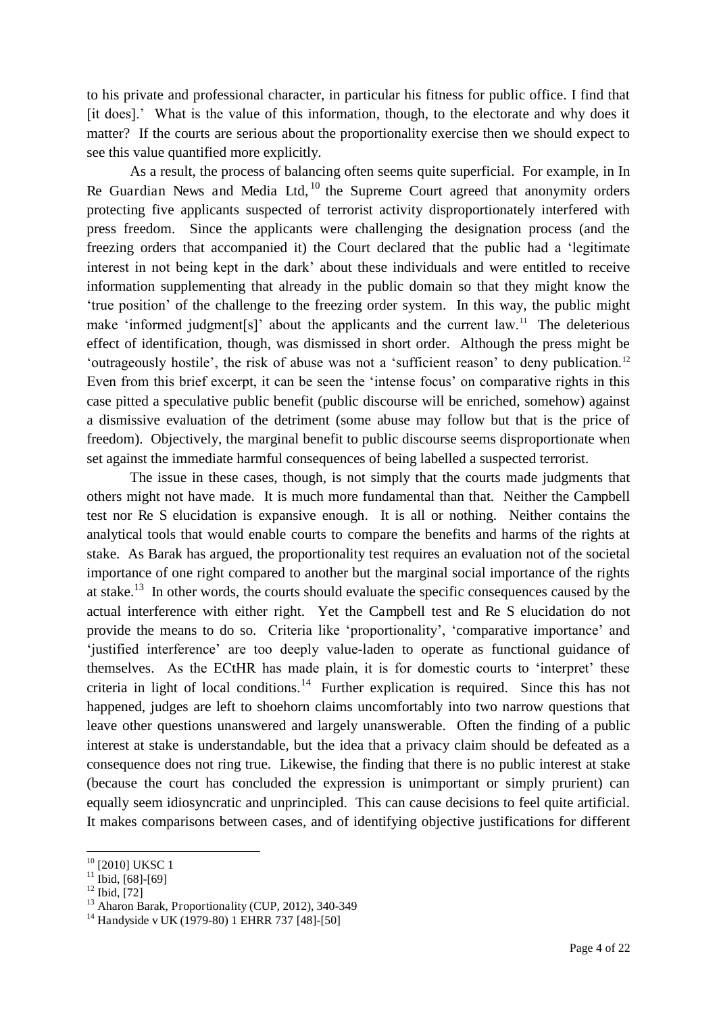to his private and professional character, in particular his fitness for public office. I find that [it does].' What is the value of this information, though, to the electorate and why does it matter? If the courts are serious about the proportionality exercise then we should expect to see this value quantified more explicitly.

<span id="page-4-0"></span>As a result, the process of balancing often seems quite superficial. For example, in In Re Guardian News and Media Ltd,  $^{10}$  the Supreme Court agreed that anonymity orders protecting five applicants suspected of terrorist activity disproportionately interfered with press freedom. Since the applicants were challenging the designation process (and the freezing orders that accompanied it) the Court declared that the public had a 'legitimate interest in not being kept in the dark' about these individuals and were entitled to receive information supplementing that already in the public domain so that they might know the 'true position' of the challenge to the freezing order system. In this way, the public might make 'informed judgment[s]' about the applicants and the current law.<sup>11</sup> The deleterious effect of identification, though, was dismissed in short order. Although the press might be 'outrageously hostile', the risk of abuse was not a 'sufficient reason' to deny publication.<sup>12</sup> Even from this brief excerpt, it can be seen the 'intense focus' on comparative rights in this case pitted a speculative public benefit (public discourse will be enriched, somehow) against a dismissive evaluation of the detriment (some abuse may follow but that is the price of freedom). Objectively, the marginal benefit to public discourse seems disproportionate when set against the immediate harmful consequences of being labelled a suspected terrorist.

The issue in these cases, though, is not simply that the courts made judgments that others might not have made. It is much more fundamental than that. Neither the Campbell test nor Re S elucidation is expansive enough. It is all or nothing. Neither contains the analytical tools that would enable courts to compare the benefits and harms of the rights at stake. As Barak has argued, the proportionality test requires an evaluation not of the societal importance of one right compared to another but the marginal social importance of the rights at stake.<sup>13</sup> In other words, the courts should evaluate the specific consequences caused by the actual interference with either right. Yet the Campbell test and Re S elucidation do not provide the means to do so. Criteria like 'proportionality', 'comparative importance' and 'justified interference' are too deeply value-laden to operate as functional guidance of themselves. As the ECtHR has made plain, it is for domestic courts to 'interpret' these criteria in light of local conditions.<sup>14</sup> Further explication is required. Since this has not happened, judges are left to shoehorn claims uncomfortably into two narrow questions that leave other questions unanswered and largely unanswerable. Often the finding of a public interest at stake is understandable, but the idea that a privacy claim should be defeated as a consequence does not ring true. Likewise, the finding that there is no public interest at stake (because the court has concluded the expression is unimportant or simply prurient) can equally seem idiosyncratic and unprincipled. This can cause decisions to feel quite artificial. It makes comparisons between cases, and of identifying objective justifications for different

<span id="page-4-1"></span><sup>&</sup>lt;sup>10</sup> [2010] UKSC 1

 $11$  Ibid, [68]-[69]

<sup>12</sup> Ibid, [72]

 $13$  Aharon Barak, Proportionality (CUP, 2012), 340-349

<sup>&</sup>lt;sup>14</sup> Handyside v UK (1979-80) 1 EHRR 737 [48]-[50]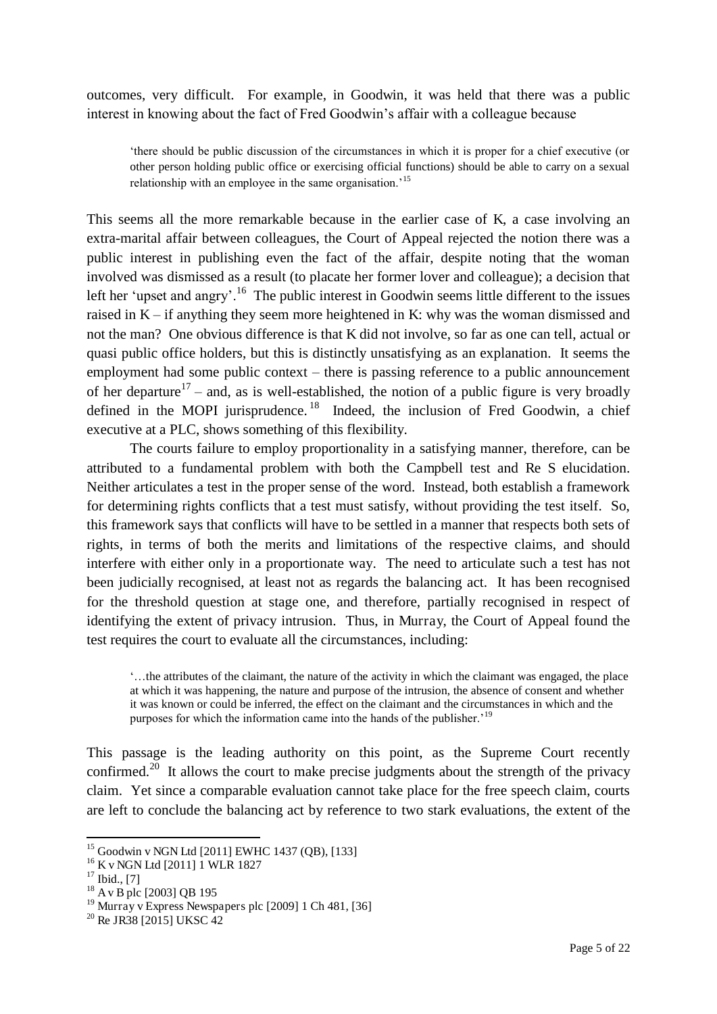outcomes, very difficult. For example, in Goodwin, it was held that there was a public interest in knowing about the fact of Fred Goodwin's affair with a colleague because

'there should be public discussion of the circumstances in which it is proper for a chief executive (or other person holding public office or exercising official functions) should be able to carry on a sexual relationship with an employee in the same organisation.<sup>15</sup>

This seems all the more remarkable because in the earlier case of K, a case involving an extra-marital affair between colleagues, the Court of Appeal rejected the notion there was a public interest in publishing even the fact of the affair, despite noting that the woman involved was dismissed as a result (to placate her former lover and colleague); a decision that left her 'upset and angry'.<sup>16</sup> The public interest in Goodwin seems little different to the issues raised in K – if anything they seem more heightened in K: why was the woman dismissed and not the man? One obvious difference is that K did not involve, so far as one can tell, actual or quasi public office holders, but this is distinctly unsatisfying as an explanation. It seems the employment had some public context – there is passing reference to a public announcement of her departure<sup>17</sup> – and, as is well-established, the notion of a public figure is very broadly defined in the MOPI jurisprudence.<sup>18</sup> Indeed, the inclusion of Fred Goodwin, a chief executive at a PLC, shows something of this flexibility.

<span id="page-5-1"></span> The courts failure to employ proportionality in a satisfying manner, therefore, can be attributed to a fundamental problem with both the Campbell test and Re S elucidation. Neither articulates a test in the proper sense of the word. Instead, both establish a framework for determining rights conflicts that a test must satisfy, without providing the test itself. So, this framework says that conflicts will have to be settled in a manner that respects both sets of rights, in terms of both the merits and limitations of the respective claims, and should interfere with either only in a proportionate way. The need to articulate such a test has not been judicially recognised, at least not as regards the balancing act. It has been recognised for the threshold question at stage one, and therefore, partially recognised in respect of identifying the extent of privacy intrusion. Thus, in Murray, the Court of Appeal found the test requires the court to evaluate all the circumstances, including:

<span id="page-5-0"></span>'…the attributes of the claimant, the nature of the activity in which the claimant was engaged, the place at which it was happening, the nature and purpose of the intrusion, the absence of consent and whether it was known or could be inferred, the effect on the claimant and the circumstances in which and the purposes for which the information came into the hands of the publisher.<sup>19</sup>

This passage is the leading authority on this point, as the Supreme Court recently confirmed.<sup>20</sup> It allows the court to make precise judgments about the strength of the privacy claim. Yet since a comparable evaluation cannot take place for the free speech claim, courts are left to conclude the balancing act by reference to two stark evaluations, the extent of the

<sup>15</sup> Goodwin v NGN Ltd [2011] EWHC 1437 (QB), [133]

<sup>&</sup>lt;sup>16</sup> K v NGN Ltd [2011] 1 WLR 1827

 $17$  Ibid., [7]

 $^{18}$  A v B plc [2003] QB 195

<sup>&</sup>lt;sup>19</sup> Murray v Express Newspapers plc [2009] 1 Ch 481, [36]

 $20$  Re JR38 [2015] UKSC 42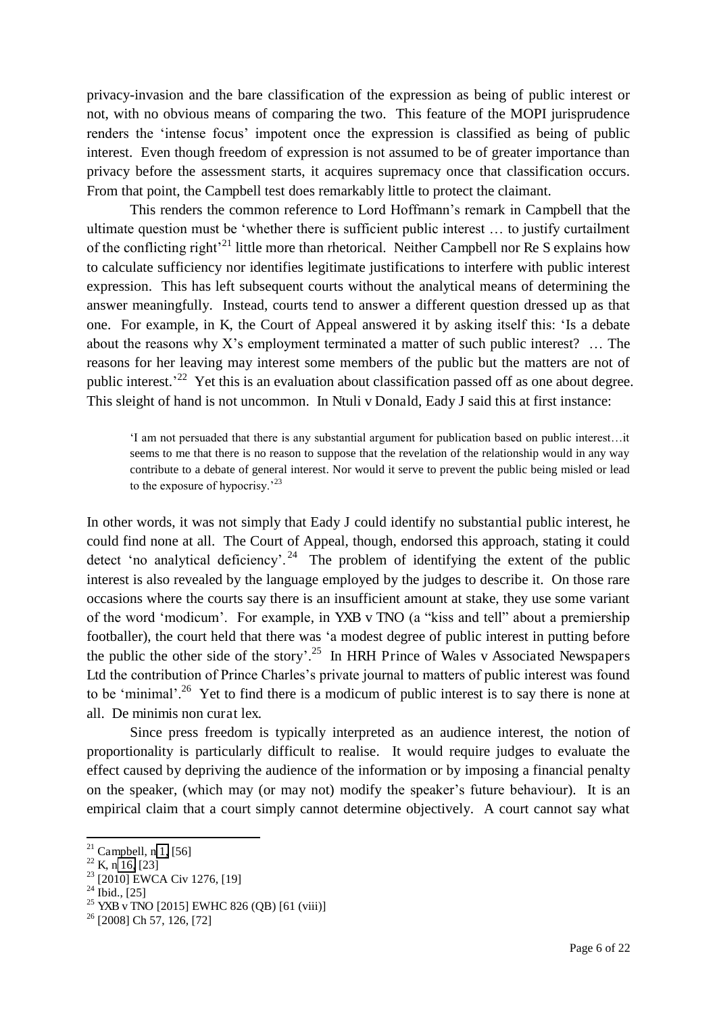<span id="page-6-0"></span>privacy-invasion and the bare classification of the expression as being of public interest or not, with no obvious means of comparing the two. This feature of the MOPI jurisprudence renders the 'intense focus' impotent once the expression is classified as being of public interest. Even though freedom of expression is not assumed to be of greater importance than privacy before the assessment starts, it acquires supremacy once that classification occurs. From that point, the Campbell test does remarkably little to protect the claimant.

<span id="page-6-2"></span><span id="page-6-1"></span>This renders the common reference to Lord Hoffmann's remark in Campbell that the ultimate question must be 'whether there is sufficient public interest … to justify curtailment of the conflicting right<sup> $21$ </sup> little more than rhetorical. Neither Campbell nor Re S explains how to calculate sufficiency nor identifies legitimate justifications to interfere with public interest expression. This has left subsequent courts without the analytical means of determining the answer meaningfully. Instead, courts tend to answer a different question dressed up as that one. For example, in K, the Court of Appeal answered it by asking itself this: 'Is a debate about the reasons why  $X$ 's employment terminated a matter of such public interest?  $\ldots$  The reasons for her leaving may interest some members of the public but the matters are not of public interest.<sup>22</sup> Yet this is an evaluation about classification passed off as one about degree. This sleight of hand is not uncommon. In Ntuli v Donald, Eady J said this at first instance:

'I am not persuaded that there is any substantial argument for publication based on public interest…it seems to me that there is no reason to suppose that the revelation of the relationship would in any way contribute to a debate of general interest. Nor would it serve to prevent the public being misled or lead to the exposure of hypocrisy.'<sup>23</sup>

In other words, it was not simply that Eady J could identify no substantial public interest, he could find none at all. The Court of Appeal, though, endorsed this approach, stating it could detect 'no analytical deficiency'.<sup>24</sup> The problem of identifying the extent of the public interest is also revealed by the language employed by the judges to describe it. On those rare occasions where the courts say there is an insufficient amount at stake, they use some variant of the word 'modicum'. For example, in YXB v TNO (a "kiss and tell" about a premiership footballer), the court held that there was 'a modest degree of public interest in putting before the public the other side of the story'.<sup>25</sup> In HRH Prince of Wales v Associated Newspapers Ltd the contribution of Prince Charles's private journal to matters of public interest was found to be 'minimal'.<sup>26</sup> Yet to find there is a modicum of public interest is to say there is none at all. De minimis non curat lex.

 Since press freedom is typically interpreted as an audience interest, the notion of proportionality is particularly difficult to realise. It would require judges to evaluate the effect caused by depriving the audience of the information or by imposing a financial penalty on the speaker, (which may (or may not) modify the speaker's future behaviour). It is an empirical claim that a court simply cannot determine objectively. A court cannot say what

 $21$  Campbell, n [1,](#page-0-0) [56]

 $22$  K, n [16,](#page-4-0) [23]

<sup>&</sup>lt;sup>23</sup> [2010] EWCA Civ 1276, [19]

 $^{24}$  Ibid., [25]

<sup>&</sup>lt;sup>25</sup> YXB v TNO [2015] EWHC 826 (QB) [61 (viii)]

 $26$  [2008] Ch 57, 126, [72]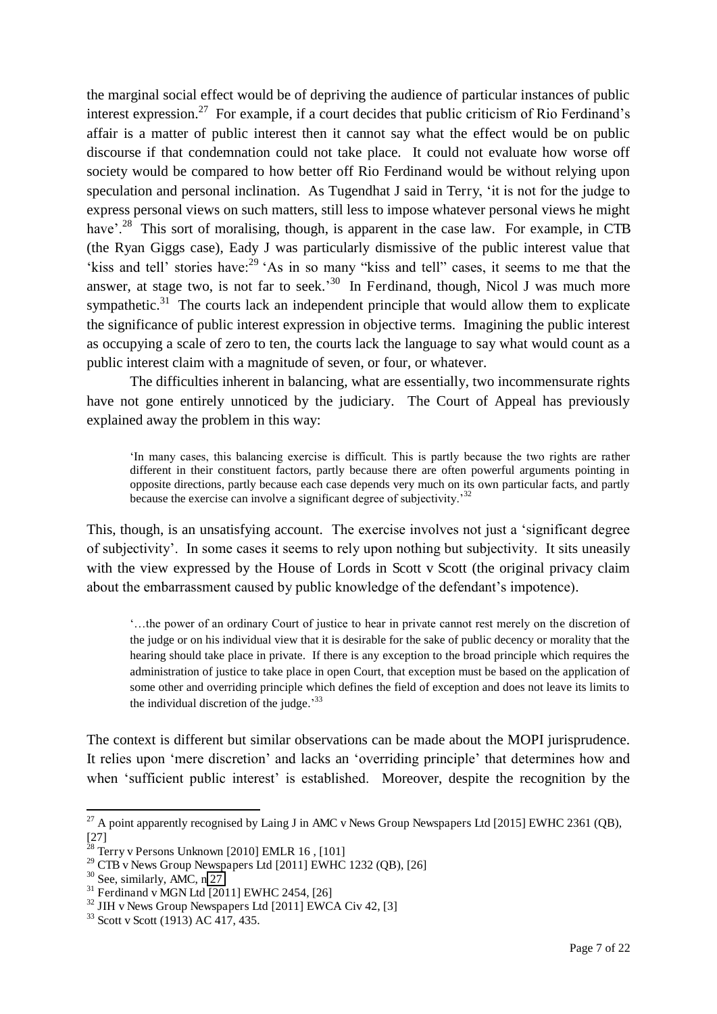the marginal social effect would be of depriving the audience of particular instances of public interest expression.<sup>27</sup> For example, if a court decides that public criticism of Rio Ferdinand's affair is a matter of public interest then it cannot say what the effect would be on public discourse if that condemnation could not take place. It could not evaluate how worse off society would be compared to how better off Rio Ferdinand would be without relying upon speculation and personal inclination. As Tugendhat J said in Terry, 'it is not for the judge to express personal views on such matters, still less to impose whatever personal views he might have'.<sup>28</sup> This sort of moralising, though, is apparent in the case law. For example, in CTB (the Ryan Giggs case), Eady J was particularly dismissive of the public interest value that 'kiss and tell' stories have:<sup>29</sup> 'As in so many "kiss and tell" cases, it seems to me that the answer, at stage two, is not far to seek.<sup>30</sup> In Ferdinand, though, Nicol J was much more sympathetic. $31$  The courts lack an independent principle that would allow them to explicate the significance of public interest expression in objective terms. Imagining the public interest as occupying a scale of zero to ten, the courts lack the language to say what would count as a public interest claim with a magnitude of seven, or four, or whatever.

The difficulties inherent in balancing, what are essentially, two incommensurate rights have not gone entirely unnoticed by the judiciary. The Court of Appeal has previously explained away the problem in this way:

'In many cases, this balancing exercise is difficult. This is partly because the two rights are rather different in their constituent factors, partly because there are often powerful arguments pointing in opposite directions, partly because each case depends very much on its own particular facts, and partly because the exercise can involve a significant degree of subjectivity.<sup>32</sup>

This, though, is an unsatisfying account. The exercise involves not just a 'significant degree of subjectivity'. In some cases it seems to rely upon nothing but subjectivity. It sits uneasily with the view expressed by the House of Lords in Scott v Scott (the original privacy claim about the embarrassment caused by public knowledge of the defendant's impotence).

'…the power of an ordinary Court of justice to hear in private cannot rest merely on the discretion of the judge or on his individual view that it is desirable for the sake of public decency or morality that the hearing should take place in private. If there is any exception to the broad principle which requires the administration of justice to take place in open Court, that exception must be based on the application of some other and overriding principle which defines the field of exception and does not leave its limits to the individual discretion of the judge.<sup>33</sup>

<span id="page-7-0"></span>The context is different but similar observations can be made about the MOPI jurisprudence. It relies upon 'mere discretion' and lacks an 'overriding principle' that determines how and when 'sufficient public interest' is established. Moreover, despite the recognition by the

 $^{27}$  A point apparently recognised by Laing J in AMC v News Group Newspapers Ltd [2015] EWHC 2361 (QB), [27]

 $^{28}$  Terry v Persons Unknown [2010] EMLR 16, [101]

 $29$  CTB v News Group Newspapers Ltd [2011] EWHC 1232 (QB), [26]

 $30$  See, similarly, AMC, n  $27$ 

 $31$  Ferdinand v MGN Ltd [2011] EWHC 2454, [26]

 $32$  JIH v News Group Newspapers Ltd [2011] EWCA Civ 42, [3]

 $33$  Scott v Scott (1913) AC  $\overline{417}$ , 435.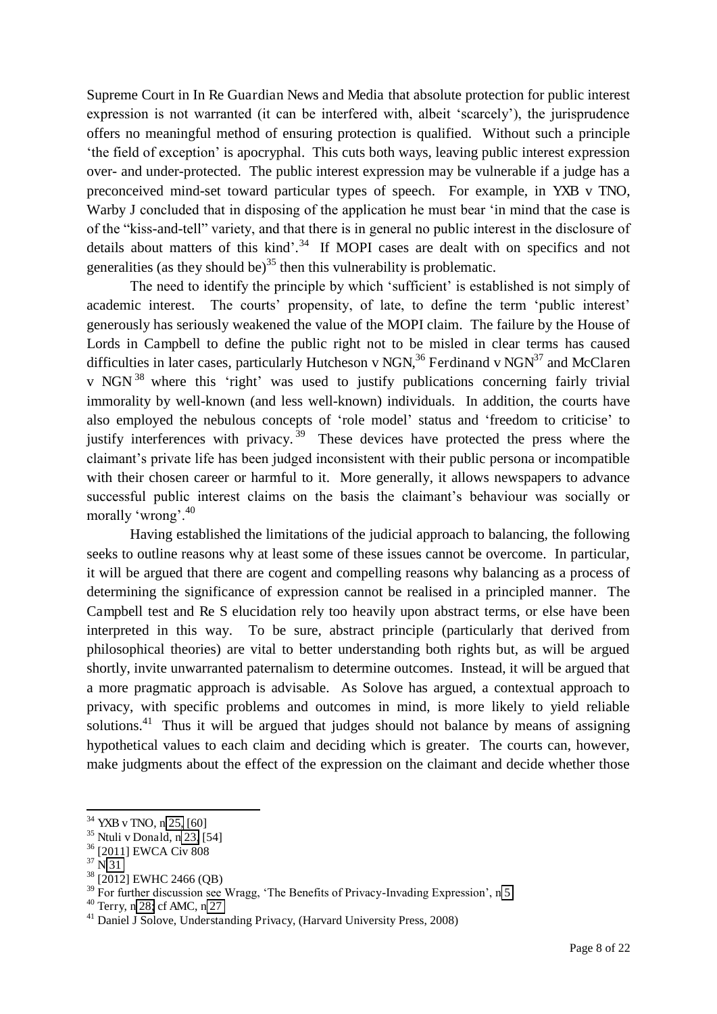Supreme Court in In Re Guardian News and Media that absolute protection for public interest expression is not warranted (it can be interfered with, albeit 'scarcely'), the jurisprudence offers no meaningful method of ensuring protection is qualified. Without such a principle 'the field of exception' is apocryphal. This cuts both ways, leaving public interest expression over- and under-protected. The public interest expression may be vulnerable if a judge has a preconceived mind-set toward particular types of speech. For example, in YXB v TNO, Warby J concluded that in disposing of the application he must bear 'in mind that the case is of the "kiss-and-tell" variety, and that there is in general no public interest in the disclosure of details about matters of this kind'.<sup>34</sup> If MOPI cases are dealt with on specifics and not generalities (as they should be)<sup>35</sup> then this vulnerability is problematic.

<span id="page-8-0"></span>The need to identify the principle by which 'sufficient' is established is not simply of academic interest. The courts' propensity, of late, to define the term 'public interest' generously has seriously weakened the value of the MOPI claim. The failure by the House of Lords in Campbell to define the public right not to be misled in clear terms has caused difficulties in later cases, particularly Hutcheson v NGN,<sup>36</sup> Ferdinand v NGN<sup>37</sup> and McClaren v NGN <sup>38</sup> where this 'right' was used to justify publications concerning fairly trivial immorality by well-known (and less well-known) individuals. In addition, the courts have also employed the nebulous concepts of 'role model' status and 'freedom to criticise' to justify interferences with privacy.<sup>39</sup> These devices have protected the press where the claimant's private life has been judged inconsistent with their public persona or incompatible with their chosen career or harmful to it. More generally, it allows newspapers to advance successful public interest claims on the basis the claimant's behaviour was socially or morally 'wrong'.<sup>40</sup>

Having established the limitations of the judicial approach to balancing, the following seeks to outline reasons why at least some of these issues cannot be overcome. In particular, it will be argued that there are cogent and compelling reasons why balancing as a process of determining the significance of expression cannot be realised in a principled manner. The Campbell test and Re S elucidation rely too heavily upon abstract terms, or else have been interpreted in this way. To be sure, abstract principle (particularly that derived from philosophical theories) are vital to better understanding both rights but, as will be argued shortly, invite unwarranted paternalism to determine outcomes. Instead, it will be argued that a more pragmatic approach is advisable. As Solove has argued, a contextual approach to privacy, with specific problems and outcomes in mind, is more likely to yield reliable solutions.<sup>41</sup> Thus it will be argued that judges should not balance by means of assigning hypothetical values to each claim and deciding which is greater. The courts can, however, make judgments about the effect of the expression on the claimant and decide whether those

<sup>&</sup>lt;sup>34</sup> YXB v TNO, n [25,](#page-5-0) [60]

<sup>35</sup> Ntuli v Donald, n [23,](#page-5-1) [54]

<sup>36</sup> [2011] EWCA Civ 808

 $37 \text{ N } 31$ 

<sup>&</sup>lt;sup>38</sup> [2012] EWHC 2466 (QB)

 $39$  For further discussion see Wragg, 'The Benefits of Privacy-Invading Expression', n 5

<sup>40</sup> Terry, [n 28;](#page-6-2) cf AMC, n [27](#page-6-0) 

<sup>&</sup>lt;sup>41</sup> Daniel J Solove, Understanding Privacy, (Harvard University Press, 2008)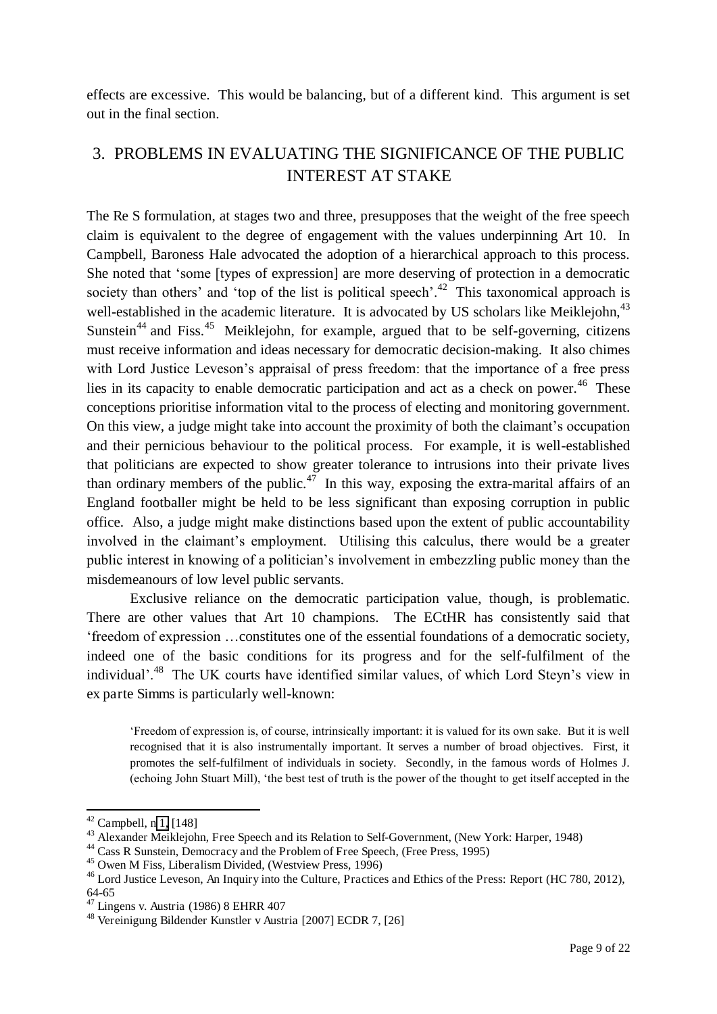effects are excessive. This would be balancing, but of a different kind. This argument is set out in the final section.

# 3. PROBLEMS IN EVALUATING THE SIGNIFICANCE OF THE PUBLIC INTEREST AT STAKE

The Re S formulation, at stages two and three, presupposes that the weight of the free speech claim is equivalent to the degree of engagement with the values underpinning Art 10. In Campbell, Baroness Hale advocated the adoption of a hierarchical approach to this process. She noted that 'some [types of expression] are more deserving of protection in a democratic society than others' and 'top of the list is political speech'.<sup>42</sup> This taxonomical approach is well-established in the academic literature. It is advocated by US scholars like Meiklejohn,<sup>43</sup> Sunstein<sup>44</sup> and Fiss.<sup>45</sup> Meiklejohn, for example, argued that to be self-governing, citizens must receive information and ideas necessary for democratic decision-making. It also chimes with Lord Justice Leveson's appraisal of press freedom: that the importance of a free press lies in its capacity to enable democratic participation and act as a check on power.<sup>46</sup> These conceptions prioritise information vital to the process of electing and monitoring government. On this view, a judge might take into account the proximity of both the claimant's occupation and their pernicious behaviour to the political process. For example, it is well-established that politicians are expected to show greater tolerance to intrusions into their private lives than ordinary members of the public.<sup>47</sup> In this way, exposing the extra-marital affairs of an England footballer might be held to be less significant than exposing corruption in public office. Also, a judge might make distinctions based upon the extent of public accountability involved in the claimant's employment. Utilising this calculus, there would be a greater public interest in knowing of a politician's involvement in embezzling public money than the misdemeanours of low level public servants.

 Exclusive reliance on the democratic participation value, though, is problematic. There are other values that Art 10 champions. The ECtHR has consistently said that 'freedom of expression …constitutes one of the essential foundations of a democratic society, indeed one of the basic conditions for its progress and for the self-fulfilment of the individual'.<sup>48</sup> The UK courts have identified similar values, of which Lord Steyn's view in ex parte Simms is particularly well-known:

'Freedom of expression is, of course, intrinsically important: it is valued for its own sake. But it is well recognised that it is also instrumentally important. It serves a number of broad objectives. First, it promotes the self-fulfilment of individuals in society. Secondly, in the famous words of Holmes J. (echoing John Stuart Mill), 'the best test of truth is the power of the thought to get itself accepted in the

 $42$  Campbell, n [1,](#page-0-0) [148]

<sup>&</sup>lt;sup>43</sup> Alexander Meiklejohn, Free Speech and its Relation to Self-Government, (New York: Harper, 1948)

<sup>&</sup>lt;sup>44</sup> Cass R Sunstein, Democracy and the Problem of Free Speech, (Free Press, 1995)

<sup>45</sup> Owen M Fiss, Liberalism Divided, (Westview Press, 1996)

<sup>&</sup>lt;sup>46</sup> Lord Justice Leveson, An Inquiry into the Culture, Practices and Ethics of the Press: Report (HC 780, 2012), 64-65

 $47$  Lingens v. Austria (1986) 8 EHRR 407

<sup>48</sup> Vereinigung Bildender Kunstler v Austria [2007] ECDR 7, [26]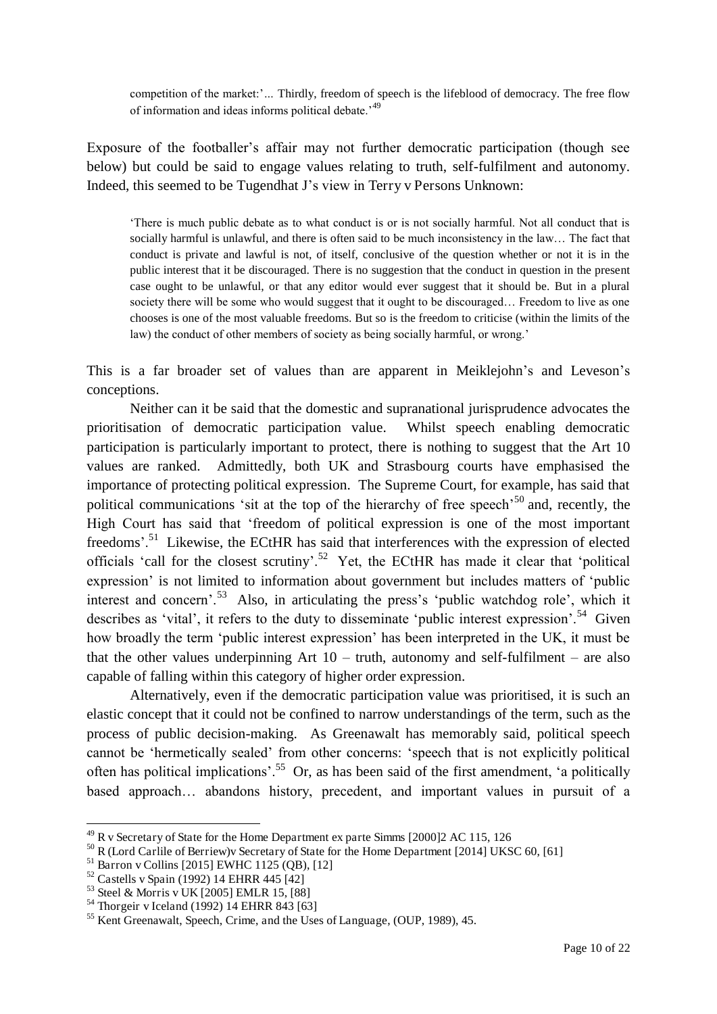competition of the market:'*…* Thirdly, freedom of speech is the lifeblood of democracy. The free flow of information and ideas informs political debate.<sup>49</sup>

Exposure of the footballer's affair may not further democratic participation (though see below) but could be said to engage values relating to truth, self-fulfilment and autonomy. Indeed, this seemed to be Tugendhat J's view in Terry v Persons Unknown:

'There is much public debate as to what conduct is or is not socially harmful. Not all conduct that is socially harmful is unlawful, and there is often said to be much inconsistency in the law… The fact that conduct is private and lawful is not, of itself, conclusive of the question whether or not it is in the public interest that it be discouraged. There is no suggestion that the conduct in question in the present case ought to be unlawful, or that any editor would ever suggest that it should be. But in a plural society there will be some who would suggest that it ought to be discouraged... Freedom to live as one chooses is one of the most valuable freedoms. But so is the freedom to criticise (within the limits of the law) the conduct of other members of society as being socially harmful, or wrong.'

This is a far broader set of values than are apparent in Meiklejohn's and Leveson's conceptions.

 Neither can it be said that the domestic and supranational jurisprudence advocates the prioritisation of democratic participation value. Whilst speech enabling democratic participation is particularly important to protect, there is nothing to suggest that the Art 10 values are ranked. Admittedly, both UK and Strasbourg courts have emphasised the importance of protecting political expression. The Supreme Court, for example, has said that political communications 'sit at the top of the hierarchy of free speech'<sup>50</sup> and, recently, the High Court has said that 'freedom of political expression is one of the most important freedoms'.<sup>51</sup> Likewise, the ECtHR has said that interferences with the expression of elected officials 'call for the closest scrutiny'.<sup>52</sup> Yet, the ECtHR has made it clear that 'political expression' is not limited to information about government but includes matters of 'public interest and concern'.<sup>53</sup> Also, in articulating the press's 'public watchdog role', which it describes as 'vital', it refers to the duty to disseminate 'public interest expression'.<sup>54</sup> Given how broadly the term 'public interest expression' has been interpreted in the UK, it must be that the other values underpinning Art  $10 -$  truth, autonomy and self-fulfilment – are also capable of falling within this category of higher order expression.

Alternatively, even if the democratic participation value was prioritised, it is such an elastic concept that it could not be confined to narrow understandings of the term, such as the process of public decision-making. As Greenawalt has memorably said, political speech cannot be 'hermetically sealed' from other concerns: 'speech that is not explicitly political often has political implications'.<sup>55</sup> Or, as has been said of the first amendment, 'a politically based approach… abandons history, precedent, and important values in pursuit of a

<sup>49</sup> R v Secretary of State for the Home Department ex parte Simms [2000]2 AC 115, 126

<sup>&</sup>lt;sup>50</sup> R (Lord Carlile of Berriew)v Secretary of State for the Home Department [2014] UKSC 60, [61]

 $51$  Barron v Collins [2015] EWHC 1125 (QB), [12]

 $52$  Castells v Spain (1992) 14 EHRR 445 [42]

<sup>53</sup> Steel & Morris v UK [2005] EMLR 15, [88]

<sup>54</sup> Thorgeir v Iceland (1992) 14 EHRR 843 [63]

<sup>55</sup> Kent Greenawalt, Speech, Crime, and the Uses of Language, (OUP, 1989), 45.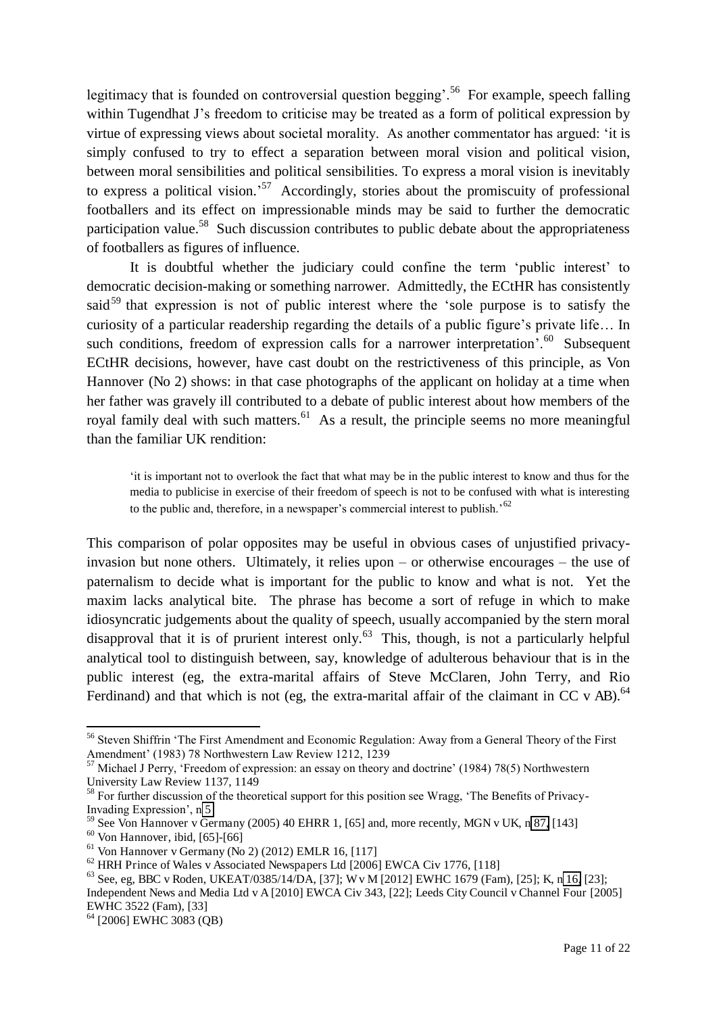legitimacy that is founded on controversial question begging'.<sup>56</sup> For example, speech falling within Tugendhat J's freedom to criticise may be treated as a form of political expression by virtue of expressing views about societal morality. As another commentator has argued: 'it is simply confused to try to effect a separation between moral vision and political vision, between moral sensibilities and political sensibilities. To express a moral vision is inevitably to express a political vision.<sup>57</sup> Accordingly, stories about the promiscuity of professional footballers and its effect on impressionable minds may be said to further the democratic participation value.<sup>58</sup> Such discussion contributes to public debate about the appropriateness of footballers as figures of influence.

 It is doubtful whether the judiciary could confine the term 'public interest' to democratic decision-making or something narrower. Admittedly, the ECtHR has consistently said<sup>59</sup> that expression is not of public interest where the 'sole purpose is to satisfy the curiosity of a particular readership regarding the details of a public figure's private life… In such conditions, freedom of expression calls for a narrower interpretation'.<sup>60</sup> Subsequent ECtHR decisions, however, have cast doubt on the restrictiveness of this principle, as Von Hannover (No 2) shows: in that case photographs of the applicant on holiday at a time when her father was gravely ill contributed to a debate of public interest about how members of the royal family deal with such matters.<sup>61</sup> As a result, the principle seems no more meaningful than the familiar UK rendition:

'it is important not to overlook the fact that what may be in the public interest to know and thus for the media to publicise in exercise of their freedom of speech is not to be confused with what is interesting to the public and, therefore, in a newspaper's commercial interest to publish.<sup>52</sup>

This comparison of polar opposites may be useful in obvious cases of unjustified privacyinvasion but none others. Ultimately, it relies upon – or otherwise encourages – the use of paternalism to decide what is important for the public to know and what is not. Yet the maxim lacks analytical bite. The phrase has become a sort of refuge in which to make idiosyncratic judgements about the quality of speech, usually accompanied by the stern moral disapproval that it is of prurient interest only.<sup>63</sup> This, though, is not a particularly helpful analytical tool to distinguish between, say, knowledge of adulterous behaviour that is in the public interest (eg, the extra-marital affairs of Steve McClaren, John Terry, and Rio Ferdinand) and that which is not (eg, the extra-marital affair of the claimant in CC v AB). $^{64}$ 

<sup>56</sup> Steven Shiffrin 'The First Amendment and Economic Regulation: Away from a General Theory of the First Amendment' (1983) 78 Northwestern Law Review 1212, 1239

<sup>&</sup>lt;sup>57</sup> Michael J Perry, 'Freedom of expression: an essay on theory and doctrine' (1984) 78(5) Northwestern University Law Review 1137, 1149

<sup>&</sup>lt;sup>58</sup> For further discussion of the theoretical support for this position see Wragg, 'The Benefits of Privacy-Invading Expression', n [5](#page-2-0) 

 $^{59}$  See Von Hannover v Germany (2005) 40 EHRR 1, [65] and, more recently, MGN v UK, n [87,](#page-13-0) [143]

 $60$  Von Hannover, ibid, [65]-[66]

 $<sup>61</sup>$  Von Hannover v Germany (No 2) (2012) EMLR 16, [117]</sup>

 $62$  HRH Prince of Wales v Associated Newspapers Ltd [2006] EWCA Civ 1776, [118]

 $^{63}$  See, eg, BBC v Roden, UKEAT/0385/14/DA, [37]; W v M [2012] EWHC 1679 (Fam), [25]; K, n [16,](#page-4-0) [23]; Independent News and Media Ltd v A [2010] EWCA Civ 343, [22]; Leeds City Council v Channel Four [2005] EWHC 3522 (Fam), [33]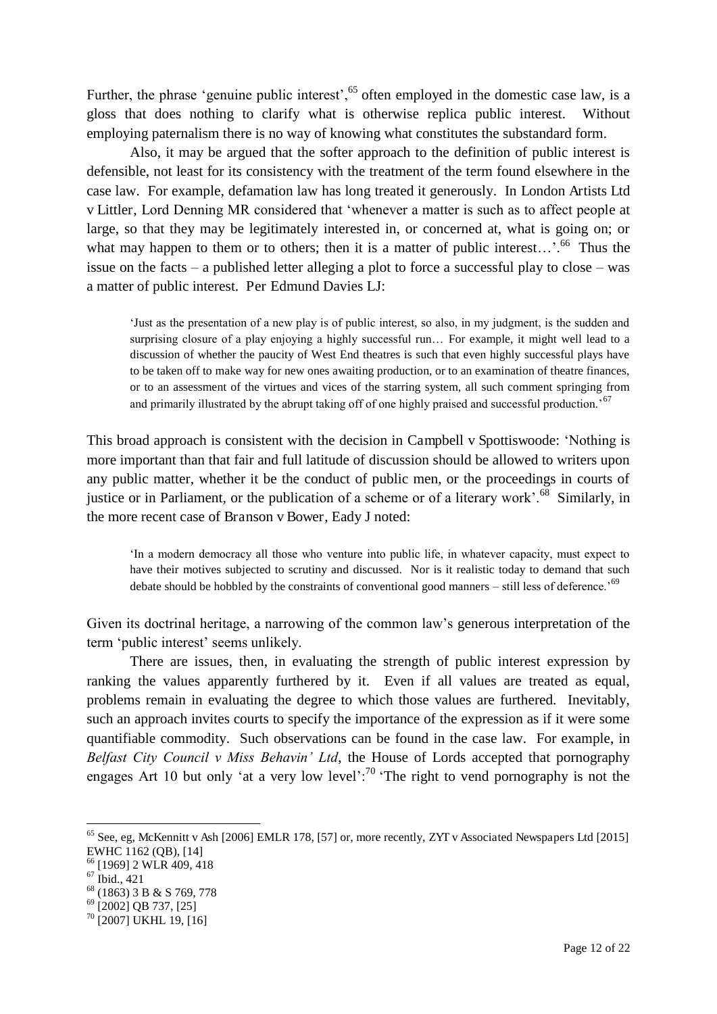Further, the phrase 'genuine public interest',<sup>65</sup> often employed in the domestic case law, is a gloss that does nothing to clarify what is otherwise replica public interest. Without employing paternalism there is no way of knowing what constitutes the substandard form.

Also, it may be argued that the softer approach to the definition of public interest is defensible, not least for its consistency with the treatment of the term found elsewhere in the case law. For example, defamation law has long treated it generously. In London Artists Ltd v Littler, Lord Denning MR considered that 'whenever a matter is such as to affect people at large, so that they may be legitimately interested in, or concerned at, what is going on; or what may happen to them or to others; then it is a matter of public interest...'.<sup>66</sup> Thus the issue on the facts – a published letter alleging a plot to force a successful play to close – was a matter of public interest. Per Edmund Davies LJ:

'Just as the presentation of a new play is of public interest, so also, in my judgment, is the sudden and surprising closure of a play enjoying a highly successful run… For example, it might well lead to a discussion of whether the paucity of West End theatres is such that even highly successful plays have to be taken off to make way for new ones awaiting production, or to an examination of theatre finances, or to an assessment of the virtues and vices of the starring system, all such comment springing from and primarily illustrated by the abrupt taking off of one highly praised and successful production.<sup>'67</sup>

This broad approach is consistent with the decision in Campbell v Spottiswoode: 'Nothing is more important than that fair and full latitude of discussion should be allowed to writers upon any public matter, whether it be the conduct of public men, or the proceedings in courts of justice or in Parliament, or the publication of a scheme or of a literary work'.<sup>68</sup> Similarly, in the more recent case of Branson v Bower, Eady J noted:

'In a modern democracy all those who venture into public life, in whatever capacity, must expect to have their motives subjected to scrutiny and discussed. Nor is it realistic today to demand that such debate should be hobbled by the constraints of conventional good manners – still less of deference.<sup>69</sup>

Given its doctrinal heritage, a narrowing of the common law's generous interpretation of the term 'public interest' seems unlikely.

 There are issues, then, in evaluating the strength of public interest expression by ranking the values apparently furthered by it. Even if all values are treated as equal, problems remain in evaluating the degree to which those values are furthered. Inevitably, such an approach invites courts to specify the importance of the expression as if it were some quantifiable commodity. Such observations can be found in the case law. For example, in *Belfast City Council v Miss Behavin' Ltd*, the House of Lords accepted that pornography engages Art 10 but only 'at a very low level':<sup>70</sup> 'The right to vend pornography is not the

<sup>&</sup>lt;sup>65</sup> See, eg, McKennitt v Ash [2006] EMLR 178, [57] or, more recently, ZYT v Associated Newspapers Ltd [2015] EWHC 1162 (QB), [14]

<sup>&</sup>lt;sup>66</sup> [1969] 2 WLR 409, 418

 $67$  Ibid., 421

<sup>68</sup> (1863) 3 B & S 769, 778

<sup>&</sup>lt;sup>69</sup> [2002] QB 737, [25]

<sup>&</sup>lt;sup>70</sup> [2007] UKHL 19, [16]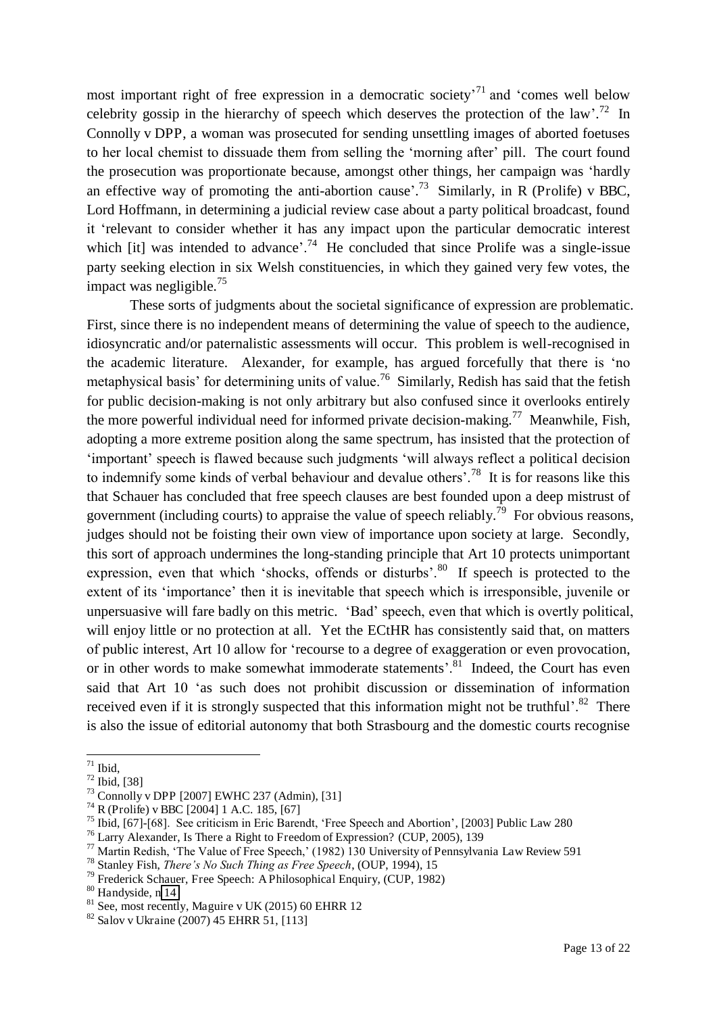most important right of free expression in a democratic society<sup>71</sup> and 'comes well below celebrity gossip in the hierarchy of speech which deserves the protection of the law'.<sup>72</sup> In Connolly v DPP, a woman was prosecuted for sending unsettling images of aborted foetuses to her local chemist to dissuade them from selling the 'morning after' pill. The court found the prosecution was proportionate because, amongst other things, her campaign was 'hardly an effective way of promoting the anti-abortion cause'.<sup>73</sup> Similarly, in R (Prolife) v BBC, Lord Hoffmann, in determining a judicial review case about a party political broadcast, found it 'relevant to consider whether it has any impact upon the particular democratic interest which [it] was intended to advance'.<sup>74</sup> He concluded that since Prolife was a single-issue party seeking election in six Welsh constituencies, in which they gained very few votes, the impact was negligible. $^{75}$ 

<span id="page-13-0"></span>These sorts of judgments about the societal significance of expression are problematic. First, since there is no independent means of determining the value of speech to the audience, idiosyncratic and/or paternalistic assessments will occur. This problem is well-recognised in the academic literature. Alexander, for example, has argued forcefully that there is 'no metaphysical basis' for determining units of value.<sup>76</sup> Similarly, Redish has said that the fetish for public decision-making is not only arbitrary but also confused since it overlooks entirely the more powerful individual need for informed private decision-making.<sup>77</sup> Meanwhile, Fish, adopting a more extreme position along the same spectrum, has insisted that the protection of 'important' speech is flawed because such judgments 'will always reflect a political decision to indemnify some kinds of verbal behaviour and devalue others'.<sup>78</sup> It is for reasons like this that Schauer has concluded that free speech clauses are best founded upon a deep mistrust of government (including courts) to appraise the value of speech reliably.<sup>79</sup> For obvious reasons. judges should not be foisting their own view of importance upon society at large. Secondly, this sort of approach undermines the long-standing principle that Art 10 protects unimportant expression, even that which 'shocks, offends or disturbs'.<sup>80</sup> If speech is protected to the extent of its 'importance' then it is inevitable that speech which is irresponsible, juvenile or unpersuasive will fare badly on this metric. 'Bad' speech, even that which is overtly political, will enjoy little or no protection at all. Yet the ECtHR has consistently said that, on matters of public interest, Art 10 allow for 'recourse to a degree of exaggeration or even provocation, or in other words to make somewhat immoderate statements'.<sup>81</sup> Indeed, the Court has even said that Art 10 'as such does not prohibit discussion or dissemination of information received even if it is strongly suspected that this information might not be truthful'. $82$  There is also the issue of editorial autonomy that both Strasbourg and the domestic courts recognise

 $71$  Ibid,

<sup>72</sup> Ibid, [38]

 $73$  Connolly v DPP [2007] EWHC 237 (Admin), [31]

 $74$  R (Prolife) v BBC [2004] 1 A.C. 185, [67]

<sup>75</sup> Ibid, [67]-[68]. See criticism in Eric Barendt, 'Free Speech and Abortion', [2003] Public Law 280

<sup>76</sup> Larry Alexander, Is There a Right to Freedom of Expression? (CUP, 2005), 139

<sup>77</sup> Martin Redish, 'The Value of Free Speech,' (1982) 130 University of Pennsylvania Law Review 591

<sup>78</sup> Stanley Fish, *There's No Such Thing as Free Speech*, (OUP, 1994), 15

<sup>79</sup> Frederick Schauer, Free Speech: A Philosophical Enquiry, (CUP, 1982)

<sup>80</sup> Handyside, n [14](#page-3-0)

 $81$  See, most recently, Maguire v UK (2015) 60 EHRR 12

 $82$  Salov v Ukraine (2007) 45 EHRR 51, [113]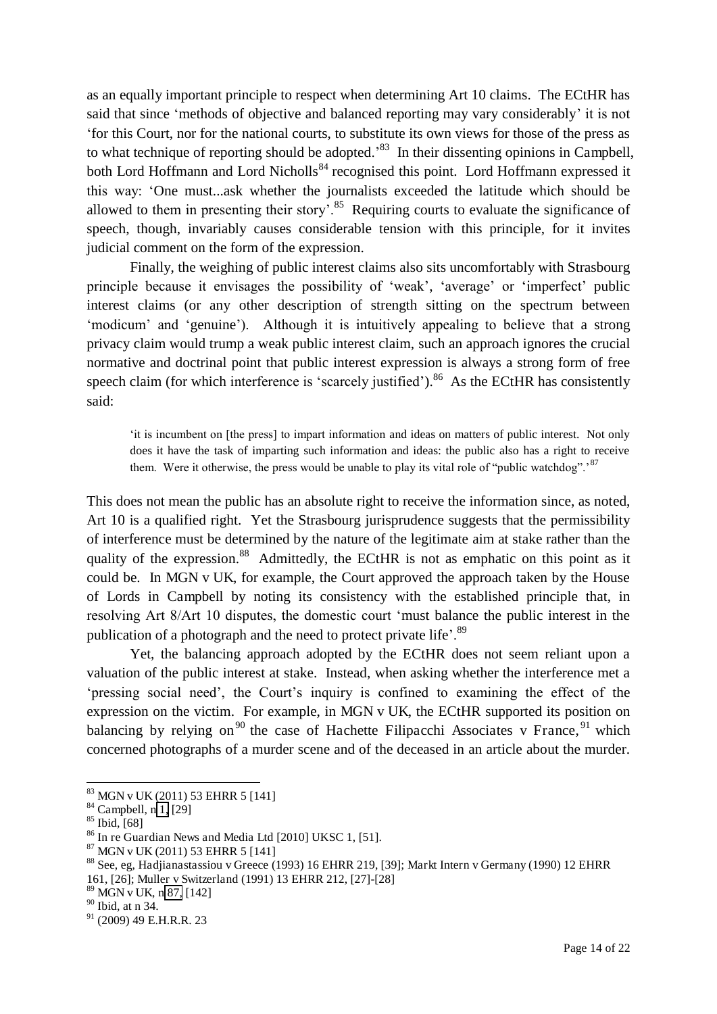as an equally important principle to respect when determining Art 10 claims. The ECtHR has said that since 'methods of objective and balanced reporting may vary considerably' it is not 'for this Court, nor for the national courts, to substitute its own views for those of the press as to what technique of reporting should be adopted.<sup>83</sup> In their dissenting opinions in Campbell, both Lord Hoffmann and Lord Nicholls<sup>84</sup> recognised this point. Lord Hoffmann expressed it this way: 'One must...ask whether the journalists exceeded the latitude which should be allowed to them in presenting their story'.<sup>85</sup> Requiring courts to evaluate the significance of speech, though, invariably causes considerable tension with this principle, for it invites judicial comment on the form of the expression.

 Finally, the weighing of public interest claims also sits uncomfortably with Strasbourg principle because it envisages the possibility of 'weak', 'average' or 'imperfect' public interest claims (or any other description of strength sitting on the spectrum between 'modicum' and 'genuine'). Although it is intuitively appealing to believe that a strong privacy claim would trump a weak public interest claim, such an approach ignores the crucial normative and doctrinal point that public interest expression is always a strong form of free speech claim (for which interference is 'scarcely justified').<sup>86</sup> As the ECtHR has consistently said:

'it is incumbent on [the press] to impart information and ideas on matters of public interest. Not only does it have the task of imparting such information and ideas: the public also has a right to receive them. Were it otherwise, the press would be unable to play its vital role of "public watchdog".<sup>87</sup>

This does not mean the public has an absolute right to receive the information since, as noted, Art 10 is a qualified right. Yet the Strasbourg jurisprudence suggests that the permissibility of interference must be determined by the nature of the legitimate aim at stake rather than the quality of the expression.<sup>88</sup> Admittedly, the ECtHR is not as emphatic on this point as it could be. In MGN v UK, for example, the Court approved the approach taken by the House of Lords in Campbell by noting its consistency with the established principle that, in resolving Art 8/Art 10 disputes, the domestic court 'must balance the public interest in the publication of a photograph and the need to protect private life'.<sup>89</sup>

 Yet, the balancing approach adopted by the ECtHR does not seem reliant upon a valuation of the public interest at stake. Instead, when asking whether the interference met a 'pressing social need', the Court's inquiry is confined to examining the effect of the expression on the victim. For example, in MGN v UK, the ECtHR supported its position on balancing by relying on<sup>90</sup> the case of Hachette Filipacchi Associates v France, <sup>91</sup> which concerned photographs of a murder scene and of the deceased in an article about the murder.

<sup>83</sup> MGN v UK (2011) 53 EHRR 5 [141]

 $84$  Campbell, n [1,](#page-0-0) [29]

 $85$  Ibid, [68]

<sup>86</sup> In re Guardian News and Media Ltd [2010] UKSC 1, [51].

<sup>87</sup> MGN v UK (2011) 53 EHRR 5 [141]

<sup>88</sup> See, eg, Hadjianastassiou v Greece (1993) 16 EHRR 219, [39]; Markt Intern v Germany (1990) 12 EHRR 161, [26]; Muller v Switzerland (1991) 13 EHRR 212, [27]-[28]

<sup>89</sup> MGN v UK, n [87,](#page-13-0) [142]

<sup>90</sup> Ibid, at n 34.

<sup>91</sup> (2009) 49 E.H.R.R. 23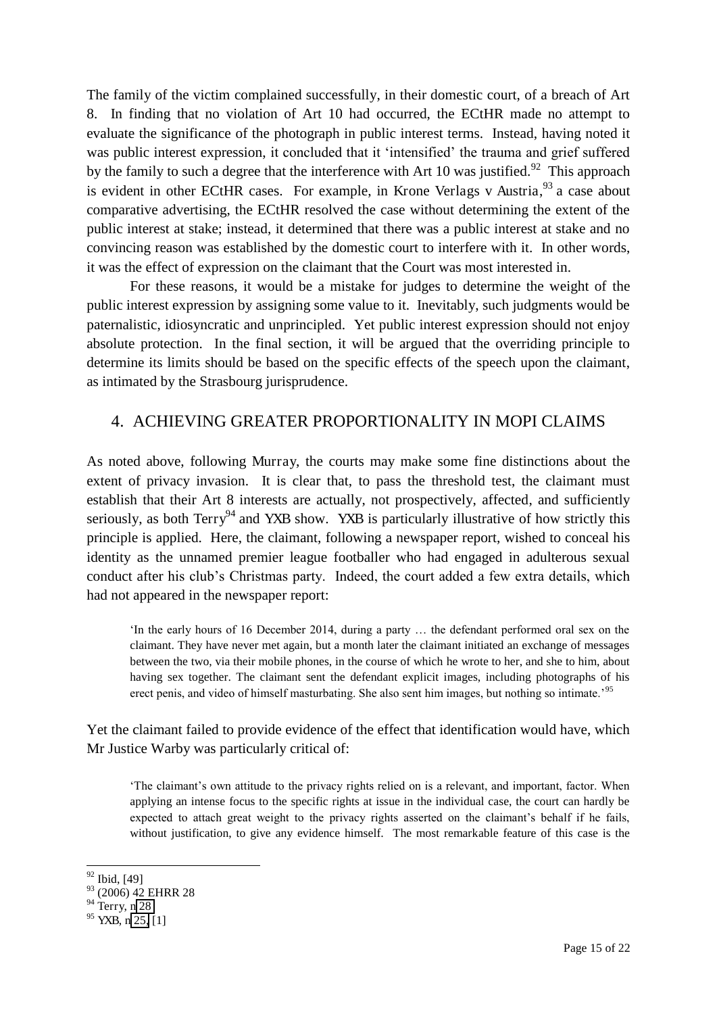The family of the victim complained successfully, in their domestic court, of a breach of Art 8. In finding that no violation of Art 10 had occurred, the ECtHR made no attempt to evaluate the significance of the photograph in public interest terms. Instead, having noted it was public interest expression, it concluded that it 'intensified' the trauma and grief suffered by the family to such a degree that the interference with Art 10 was justified.<sup>92</sup> This approach is evident in other ECtHR cases. For example, in Krone Verlags v Austria,  $93$  a case about comparative advertising, the ECtHR resolved the case without determining the extent of the public interest at stake; instead, it determined that there was a public interest at stake and no convincing reason was established by the domestic court to interfere with it. In other words, it was the effect of expression on the claimant that the Court was most interested in.

For these reasons, it would be a mistake for judges to determine the weight of the public interest expression by assigning some value to it. Inevitably, such judgments would be paternalistic, idiosyncratic and unprincipled. Yet public interest expression should not enjoy absolute protection. In the final section, it will be argued that the overriding principle to determine its limits should be based on the specific effects of the speech upon the claimant, as intimated by the Strasbourg jurisprudence.

#### 4. ACHIEVING GREATER PROPORTIONALITY IN MOPI CLAIMS

As noted above, following Murray, the courts may make some fine distinctions about the extent of privacy invasion. It is clear that, to pass the threshold test, the claimant must establish that their Art 8 interests are actually, not prospectively, affected, and sufficiently seriously, as both  $Terry<sup>94</sup>$  and YXB show. YXB is particularly illustrative of how strictly this principle is applied. Here, the claimant, following a newspaper report, wished to conceal his identity as the unnamed premier league footballer who had engaged in adulterous sexual conduct after his club's Christmas party. Indeed, the court added a few extra details, which had not appeared in the newspaper report:

'In the early hours of 16 December 2014, during a party … the defendant performed oral sex on the claimant. They have never met again, but a month later the claimant initiated an exchange of messages between the two, via their mobile phones, in the course of which he wrote to her, and she to him, about having sex together. The claimant sent the defendant explicit images, including photographs of his erect penis, and video of himself masturbating. She also sent him images, but nothing so intimate.<sup>95</sup>

Yet the claimant failed to provide evidence of the effect that identification would have, which Mr Justice Warby was particularly critical of:

'The claimant's own attitude to the privacy rights relied on is a relevant, and important, factor. When applying an intense focus to the specific rights at issue in the individual case, the court can hardly be expected to attach great weight to the privacy rights asserted on the claimant's behalf if he fails, without justification, to give any evidence himself. The most remarkable feature of this case is the

<sup>&</sup>lt;sup>92</sup> Ibid, [49]

<sup>93 (2006) 42</sup> EHRR 28

 $94$  Terry, [n 28](#page-6-2)

 $95$  YXB, n [25,](#page-5-0) [1]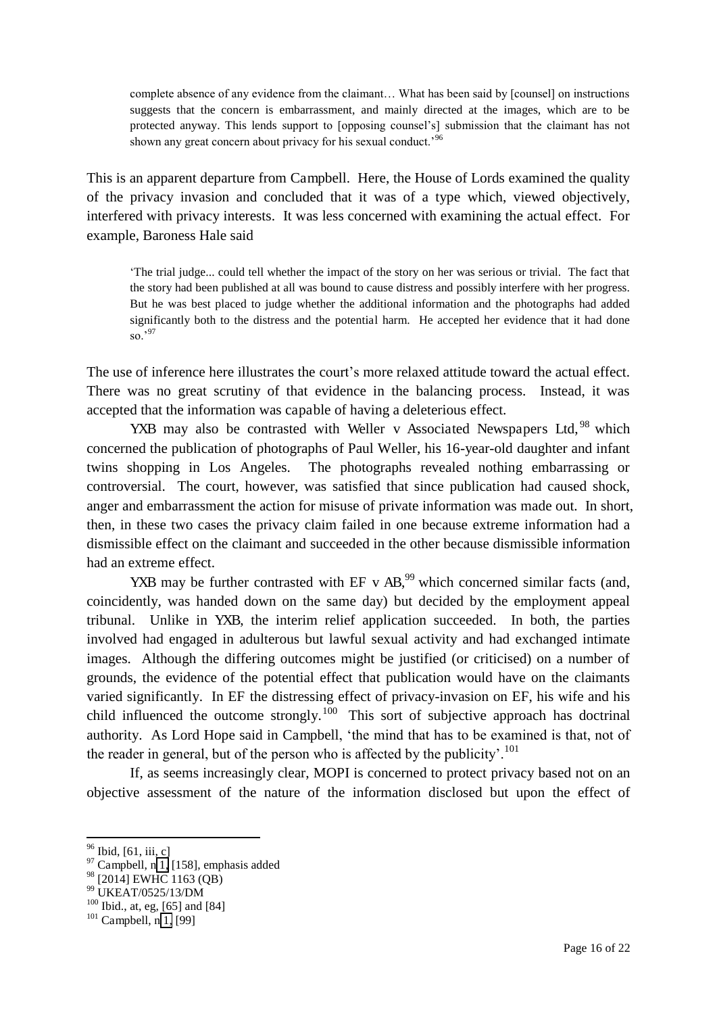complete absence of any evidence from the claimant… What has been said by [counsel] on instructions suggests that the concern is embarrassment, and mainly directed at the images, which are to be protected anyway. This lends support to [opposing counsel's] submission that the claimant has not shown any great concern about privacy for his sexual conduct.<sup>96</sup>

This is an apparent departure from Campbell. Here, the House of Lords examined the quality of the privacy invasion and concluded that it was of a type which, viewed objectively, interfered with privacy interests. It was less concerned with examining the actual effect. For example, Baroness Hale said

<span id="page-16-0"></span>'The trial judge... could tell whether the impact of the story on her was serious or trivial. The fact that the story had been published at all was bound to cause distress and possibly interfere with her progress. But he was best placed to judge whether the additional information and the photographs had added significantly both to the distress and the potential harm. He accepted her evidence that it had done so.'<sup>97</sup>

The use of inference here illustrates the court's more relaxed attitude toward the actual effect. There was no great scrutiny of that evidence in the balancing process. Instead, it was accepted that the information was capable of having a deleterious effect.

YXB may also be contrasted with Weller v Associated Newspapers Ltd,  $98$  which concerned the publication of photographs of Paul Weller, his 16-year-old daughter and infant twins shopping in Los Angeles. The photographs revealed nothing embarrassing or controversial. The court, however, was satisfied that since publication had caused shock, anger and embarrassment the action for misuse of private information was made out. In short, then, in these two cases the privacy claim failed in one because extreme information had a dismissible effect on the claimant and succeeded in the other because dismissible information had an extreme effect.

YXB may be further contrasted with EF v  $AB$ ,  $99$  which concerned similar facts (and, coincidently, was handed down on the same day) but decided by the employment appeal tribunal. Unlike in YXB, the interim relief application succeeded. In both, the parties involved had engaged in adulterous but lawful sexual activity and had exchanged intimate images. Although the differing outcomes might be justified (or criticised) on a number of grounds, the evidence of the potential effect that publication would have on the claimants varied significantly. In EF the distressing effect of privacy-invasion on EF, his wife and his child influenced the outcome strongly.<sup>100</sup> This sort of subjective approach has doctrinal authority. As Lord Hope said in Campbell, 'the mind that has to be examined is that, not of the reader in general, but of the person who is affected by the publicity'.<sup>101</sup>

If, as seems increasingly clear, MOPI is concerned to protect privacy based not on an objective assessment of the nature of the information disclosed but upon the effect of

<sup>&</sup>lt;sup>96</sup> Ibid, [61, iii, c]

 $97$  Campbell, n [1,](#page-0-0) [158], emphasis added

<sup>&</sup>lt;sup>98</sup> [2014] EWHC 1163 (QB)

<sup>99</sup> UKEAT/0525/13/DM

 $100$  Ibid., at, eg, [65] and [84]

 $101$  Campbell, [n 1,](#page-0-0) [99]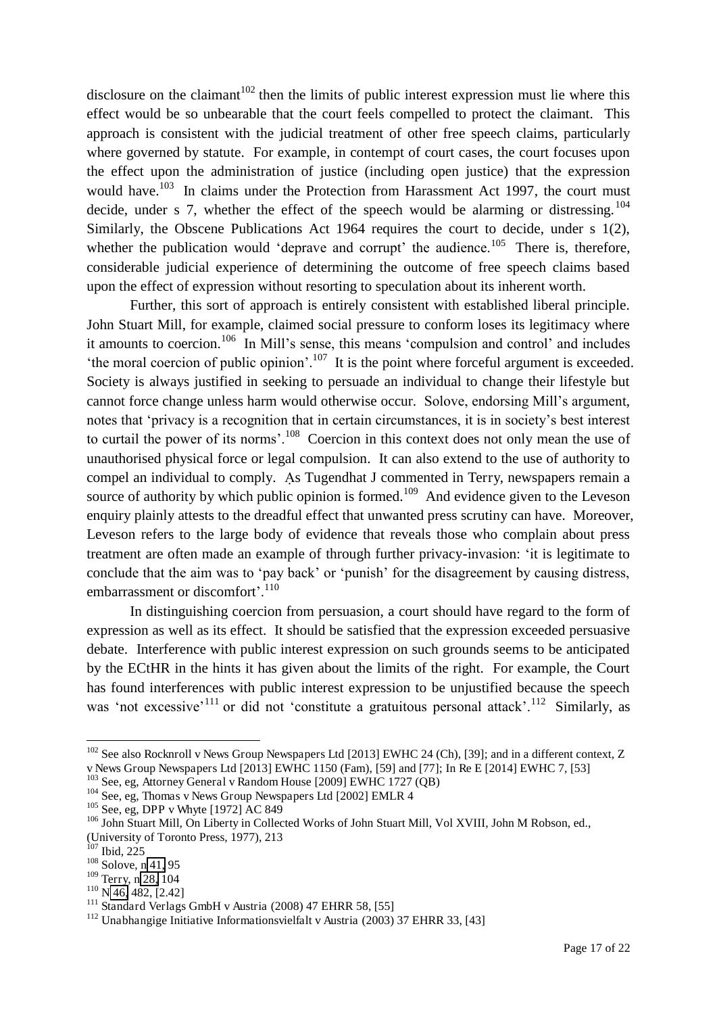disclosure on the claimant<sup>102</sup> then the limits of public interest expression must lie where this effect would be so unbearable that the court feels compelled to protect the claimant. This approach is consistent with the judicial treatment of other free speech claims, particularly where governed by statute. For example, in contempt of court cases, the court focuses upon the effect upon the administration of justice (including open justice) that the expression would have.<sup>103</sup> In claims under the Protection from Harassment Act 1997, the court must decide, under s 7, whether the effect of the speech would be alarming or distressing.  $104$ Similarly, the Obscene Publications Act 1964 requires the court to decide, under s 1(2), whether the publication would 'deprave and corrupt' the audience.<sup>105</sup> There is, therefore, considerable judicial experience of determining the outcome of free speech claims based upon the effect of expression without resorting to speculation about its inherent worth.

Further, this sort of approach is entirely consistent with established liberal principle. John Stuart Mill, for example, claimed social pressure to conform loses its legitimacy where it amounts to coercion.<sup>106</sup> In Mill's sense, this means 'compulsion and control' and includes 'the moral coercion of public opinion'.<sup>107</sup> It is the point where forceful argument is exceeded. Society is always justified in seeking to persuade an individual to change their lifestyle but cannot force change unless harm would otherwise occur. Solove, endorsing Mill's argument, notes that 'privacy is a recognition that in certain circumstances, it is in society's best interest to curtail the power of its norms'.<sup>108</sup> Coercion in this context does not only mean the use of unauthorised physical force or legal compulsion. It can also extend to the use of authority to compel an individual to comply. As Tugendhat J commented in Terry, newspapers remain a source of authority by which public opinion is formed.<sup>109</sup> And evidence given to the Leveson enquiry plainly attests to the dreadful effect that unwanted press scrutiny can have. Moreover, Leveson refers to the large body of evidence that reveals those who complain about press treatment are often made an example of through further privacy-invasion: 'it is legitimate to conclude that the aim was to 'pay back' or 'punish' for the disagreement by causing distress, embarrassment or discomfort'.<sup>110</sup>

 In distinguishing coercion from persuasion, a court should have regard to the form of expression as well as its effect. It should be satisfied that the expression exceeded persuasive debate. Interference with public interest expression on such grounds seems to be anticipated by the ECtHR in the hints it has given about the limits of the right. For example, the Court has found interferences with public interest expression to be unjustified because the speech was 'not excessive'<sup>111</sup> or did not 'constitute a gratuitous personal attack'.<sup>112</sup> Similarly, as

<sup>&</sup>lt;sup>102</sup> See also Rocknroll v News Group Newspapers Ltd [2013] EWHC 24 (Ch), [39]; and in a different context, Z v News Group Newspapers Ltd [2013] EWHC 1150 (Fam), [59] and [77]; In Re E [2014] EWHC 7, [53]

<sup>103</sup> See, eg, Attorney General v Random House [2009] EWHC 1727 (QB)

<sup>&</sup>lt;sup>104</sup> See, eg, Thomas v News Group Newspapers Ltd [2002] EMLR 4

<sup>105</sup> See, eg, DPP v Whyte [1972] AC 849

<sup>&</sup>lt;sup>106</sup> John Stuart Mill, On Liberty in Collected Works of John Stuart Mill, Vol XVIII, John M Robson, ed., (University of Toronto Press, 1977), 213

 $107$  Ibid, 225

<sup>108</sup> Solove, [n 41,](#page-7-0) 95

<sup>109</sup> Terry, n [28,](#page-6-2) 104

 $110$  N [46,](#page-8-0) 482, [2.42]

<sup>111</sup> Standard Verlags GmbH v Austria (2008) 47 EHRR 58, [55]

<sup>&</sup>lt;sup>112</sup> Unabhangige Initiative Informationsvielfalt v Austria (2003) 37 EHRR 33, [43]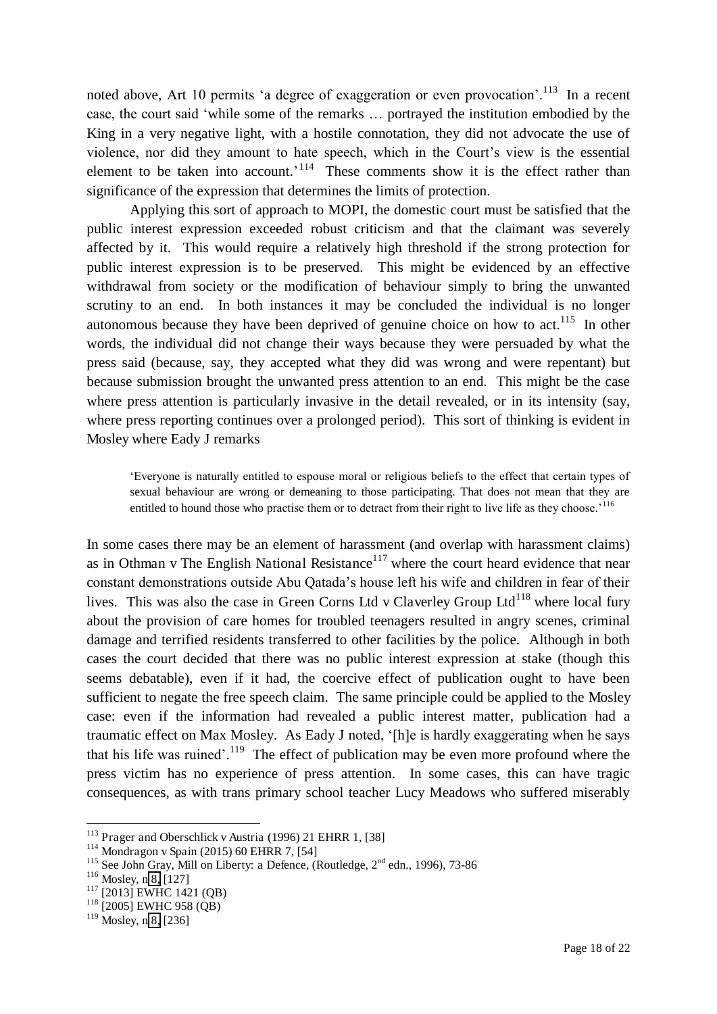noted above, Art 10 permits 'a degree of exaggeration or even provocation'.<sup>113</sup> In a recent case, the court said 'while some of the remarks … portrayed the institution embodied by the King in a very negative light, with a hostile connotation, they did not advocate the use of violence, nor did they amount to hate speech, which in the Court's view is the essential element to be taken into account.<sup>'114</sup> These comments show it is the effect rather than significance of the expression that determines the limits of protection.

Applying this sort of approach to MOPI, the domestic court must be satisfied that the public interest expression exceeded robust criticism and that the claimant was severely affected by it. This would require a relatively high threshold if the strong protection for public interest expression is to be preserved. This might be evidenced by an effective withdrawal from society or the modification of behaviour simply to bring the unwanted scrutiny to an end. In both instances it may be concluded the individual is no longer autonomous because they have been deprived of genuine choice on how to act.<sup>115</sup> In other words, the individual did not change their ways because they were persuaded by what the press said (because, say, they accepted what they did was wrong and were repentant) but because submission brought the unwanted press attention to an end. This might be the case where press attention is particularly invasive in the detail revealed, or in its intensity (say, where press reporting continues over a prolonged period). This sort of thinking is evident in Mosley where Eady J remarks

'Everyone is naturally entitled to espouse moral or religious beliefs to the effect that certain types of sexual behaviour are wrong or demeaning to those participating. That does not mean that they are entitled to hound those who practise them or to detract from their right to live life as they choose.<sup>'116</sup>

In some cases there may be an element of harassment (and overlap with harassment claims) as in Othman v The English National Resistance<sup>117</sup> where the court heard evidence that near constant demonstrations outside Abu Qatada's house left his wife and children in fear of their lives. This was also the case in Green Corns Ltd v Claverley Group Ltd<sup>118</sup> where local fury about the provision of care homes for troubled teenagers resulted in angry scenes, criminal damage and terrified residents transferred to other facilities by the police. Although in both cases the court decided that there was no public interest expression at stake (though this seems debatable), even if it had, the coercive effect of publication ought to have been sufficient to negate the free speech claim. The same principle could be applied to the Mosley case: even if the information had revealed a public interest matter, publication had a traumatic effect on Max Mosley. As Eady J noted, '[h]e is hardly exaggerating when he says that his life was ruined'.<sup>119</sup> The effect of publication may be even more profound where the press victim has no experience of press attention. In some cases, this can have tragic consequences, as with trans primary school teacher Lucy Meadows who suffered miserably

<sup>113</sup> Prager and Oberschlick v Austria (1996) 21 EHRR 1, [38]

 $114$  Mondragon v Spain (2015) 60 EHRR 7, [54]

<sup>&</sup>lt;sup>115</sup> See John Gray, Mill on Liberty: a Defence, (Routledge,  $2^{nd}$  edn., 1996), 73-86

 $116$  Mosley, [n 8,](#page-2-1) [127]

<sup>&</sup>lt;sup>117</sup> [2013] EWHC 1421 (QB)

<sup>118</sup> [2005] EWHC 958 (QB)

<sup>119</sup> Mosley, [n 8,](#page-2-1) [236]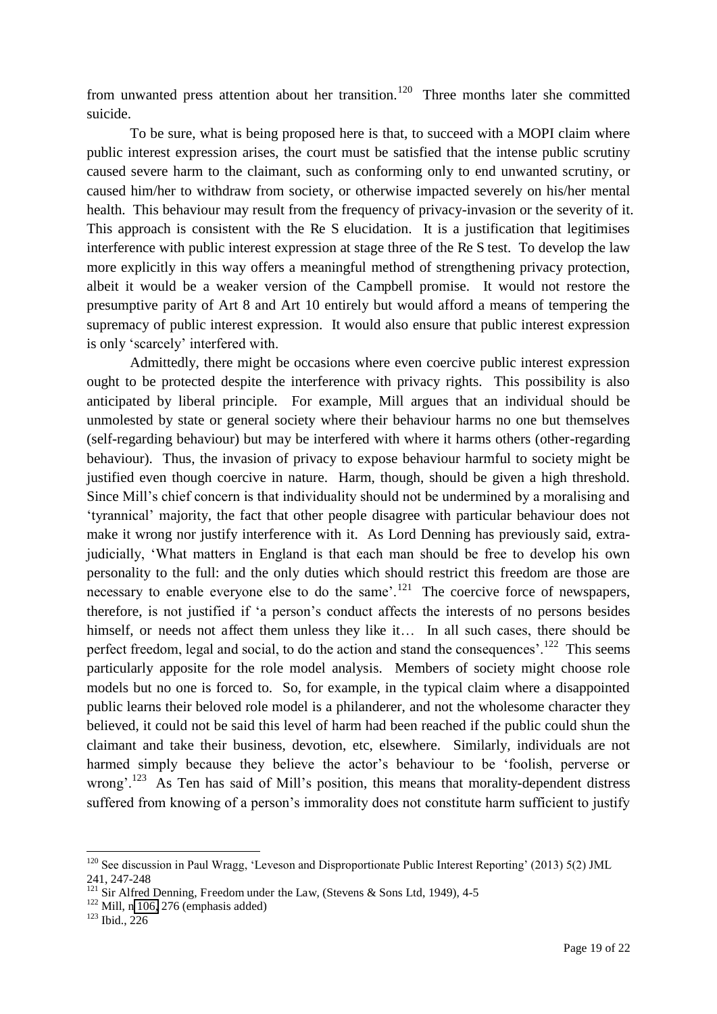from unwanted press attention about her transition.<sup>120</sup> Three months later she committed suicide.

To be sure, what is being proposed here is that, to succeed with a MOPI claim where public interest expression arises, the court must be satisfied that the intense public scrutiny caused severe harm to the claimant, such as conforming only to end unwanted scrutiny, or caused him/her to withdraw from society, or otherwise impacted severely on his/her mental health. This behaviour may result from the frequency of privacy-invasion or the severity of it. This approach is consistent with the Re S elucidation. It is a justification that legitimises interference with public interest expression at stage three of the Re S test. To develop the law more explicitly in this way offers a meaningful method of strengthening privacy protection, albeit it would be a weaker version of the Campbell promise. It would not restore the presumptive parity of Art 8 and Art 10 entirely but would afford a means of tempering the supremacy of public interest expression. It would also ensure that public interest expression is only 'scarcely' interfered with.

Admittedly, there might be occasions where even coercive public interest expression ought to be protected despite the interference with privacy rights. This possibility is also anticipated by liberal principle. For example, Mill argues that an individual should be unmolested by state or general society where their behaviour harms no one but themselves (self-regarding behaviour) but may be interfered with where it harms others (other-regarding behaviour). Thus, the invasion of privacy to expose behaviour harmful to society might be justified even though coercive in nature. Harm, though, should be given a high threshold. Since Mill's chief concern is that individuality should not be undermined by a moralising and 'tyrannical' majority, the fact that other people disagree with particular behaviour does not make it wrong nor justify interference with it. As Lord Denning has previously said, extrajudicially, 'What matters in England is that each man should be free to develop his own personality to the full: and the only duties which should restrict this freedom are those are necessary to enable everyone else to do the same'.<sup>121</sup> The coercive force of newspapers, therefore, is not justified if 'a person's conduct affects the interests of no persons besides himself, or needs not affect them unless they like it... In all such cases, there should be perfect freedom, legal and social, to do the action and stand the consequences'.<sup>122</sup> This seems particularly apposite for the role model analysis. Members of society might choose role models but no one is forced to. So, for example, in the typical claim where a disappointed public learns their beloved role model is a philanderer, and not the wholesome character they believed, it could not be said this level of harm had been reached if the public could shun the claimant and take their business, devotion, etc, elsewhere. Similarly, individuals are not harmed simply because they believe the actor's behaviour to be 'foolish, perverse or wrong'.<sup>123</sup> As Ten has said of Mill's position, this means that morality-dependent distress suffered from knowing of a person's immorality does not constitute harm sufficient to justify

<sup>120</sup> See discussion in Paul Wragg, 'Leveson and Disproportionate Public Interest Reporting' (2013) 5(2) JML 241, 247-248

 $121$  Sir Alfred Denning, Freedom under the Law, (Stevens & Sons Ltd, 1949), 4-5

 $122$  Mill, n [106,](#page-16-0) 276 (emphasis added)

 $123$  Ibid., 226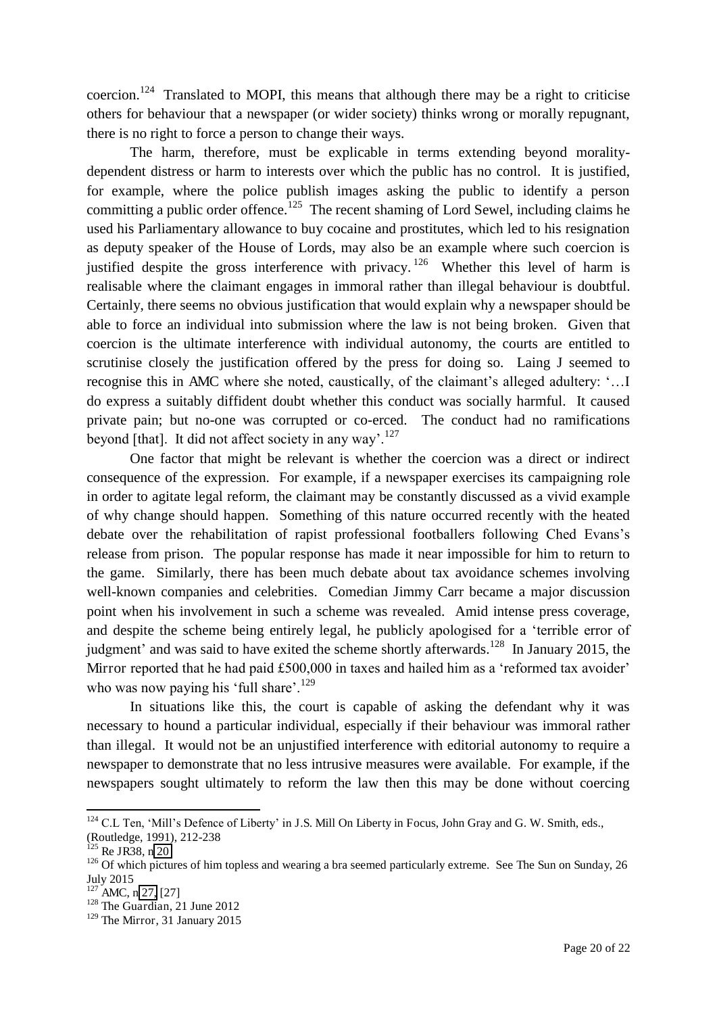coercion.<sup>124</sup> Translated to MOPI, this means that although there may be a right to criticise others for behaviour that a newspaper (or wider society) thinks wrong or morally repugnant, there is no right to force a person to change their ways.

The harm, therefore, must be explicable in terms extending beyond moralitydependent distress or harm to interests over which the public has no control. It is justified, for example, where the police publish images asking the public to identify a person committing a public order offence.<sup>125</sup> The recent shaming of Lord Sewel, including claims he used his Parliamentary allowance to buy cocaine and prostitutes, which led to his resignation as deputy speaker of the House of Lords, may also be an example where such coercion is justified despite the gross interference with privacy.<sup>126</sup> Whether this level of harm is realisable where the claimant engages in immoral rather than illegal behaviour is doubtful. Certainly, there seems no obvious justification that would explain why a newspaper should be able to force an individual into submission where the law is not being broken. Given that coercion is the ultimate interference with individual autonomy, the courts are entitled to scrutinise closely the justification offered by the press for doing so. Laing J seemed to recognise this in AMC where she noted, caustically, of the claimant's alleged adultery: '…I do express a suitably diffident doubt whether this conduct was socially harmful. It caused private pain; but no-one was corrupted or co-erced. The conduct had no ramifications beyond [that]. It did not affect society in any way'.<sup>127</sup>

One factor that might be relevant is whether the coercion was a direct or indirect consequence of the expression. For example, if a newspaper exercises its campaigning role in order to agitate legal reform, the claimant may be constantly discussed as a vivid example of why change should happen. Something of this nature occurred recently with the heated debate over the rehabilitation of rapist professional footballers following Ched Evans's release from prison. The popular response has made it near impossible for him to return to the game. Similarly, there has been much debate about tax avoidance schemes involving well-known companies and celebrities. Comedian Jimmy Carr became a major discussion point when his involvement in such a scheme was revealed. Amid intense press coverage, and despite the scheme being entirely legal, he publicly apologised for a 'terrible error of judgment' and was said to have exited the scheme shortly afterwards.<sup>128</sup> In January 2015, the Mirror reported that he had paid £500,000 in taxes and hailed him as a 'reformed tax avoider' who was now paying his 'full share'.<sup>129</sup>

In situations like this, the court is capable of asking the defendant why it was necessary to hound a particular individual, especially if their behaviour was immoral rather than illegal. It would not be an unjustified interference with editorial autonomy to require a newspaper to demonstrate that no less intrusive measures were available. For example, if the newspapers sought ultimately to reform the law then this may be done without coercing

<sup>&</sup>lt;sup>124</sup> C.L Ten, 'Mill's Defence of Liberty' in J.S. Mill On Liberty in Focus, John Gray and G. W. Smith, eds., (Routledge, 1991), 212-238

<sup>&</sup>lt;sup>125</sup> Re JR38, n [20](#page-4-1)

<sup>&</sup>lt;sup>126</sup> Of which pictures of him topless and wearing a bra seemed particularly extreme. See The Sun on Sunday, 26 July 2015

 $127$  AMC, n [27,](#page-6-0) [27]

<sup>&</sup>lt;sup>128</sup> The Guardian, 21 June 2012

<sup>&</sup>lt;sup>129</sup> The Mirror, 31 January 2015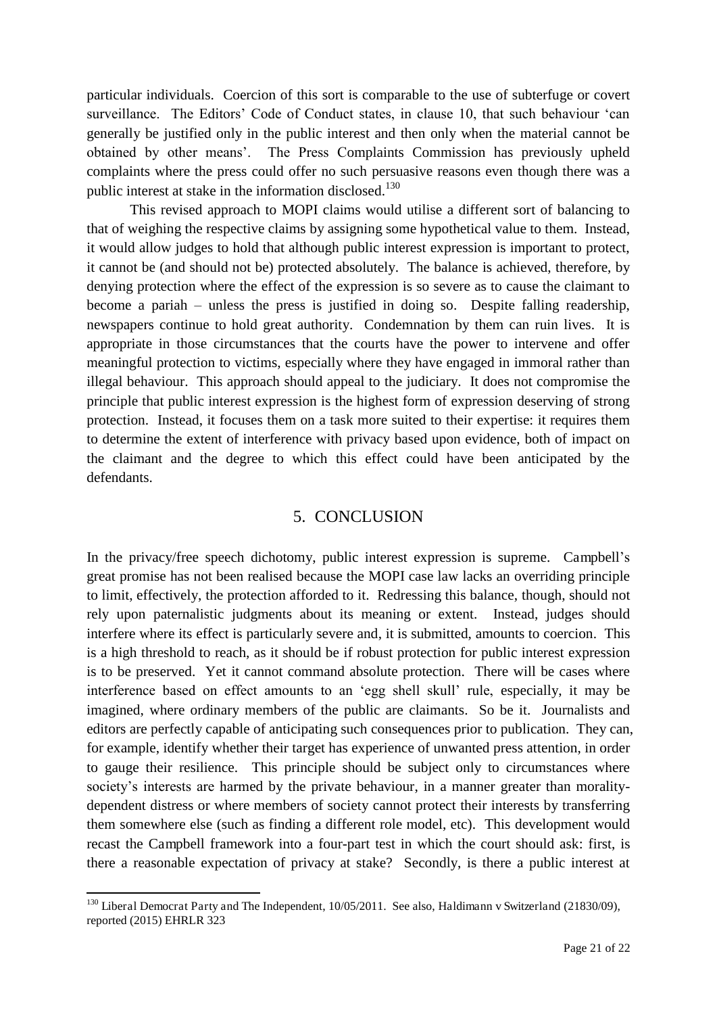particular individuals. Coercion of this sort is comparable to the use of subterfuge or covert surveillance. The Editors' Code of Conduct states, in clause 10, that such behaviour 'can generally be justified only in the public interest and then only when the material cannot be obtained by other means'. The Press Complaints Commission has previously upheld complaints where the press could offer no such persuasive reasons even though there was a public interest at stake in the information disclosed.<sup>130</sup>

 This revised approach to MOPI claims would utilise a different sort of balancing to that of weighing the respective claims by assigning some hypothetical value to them. Instead, it would allow judges to hold that although public interest expression is important to protect, it cannot be (and should not be) protected absolutely. The balance is achieved, therefore, by denying protection where the effect of the expression is so severe as to cause the claimant to become a pariah – unless the press is justified in doing so. Despite falling readership, newspapers continue to hold great authority. Condemnation by them can ruin lives. It is appropriate in those circumstances that the courts have the power to intervene and offer meaningful protection to victims, especially where they have engaged in immoral rather than illegal behaviour. This approach should appeal to the judiciary. It does not compromise the principle that public interest expression is the highest form of expression deserving of strong protection. Instead, it focuses them on a task more suited to their expertise: it requires them to determine the extent of interference with privacy based upon evidence, both of impact on the claimant and the degree to which this effect could have been anticipated by the defendants.

#### 5. CONCLUSION

In the privacy/free speech dichotomy, public interest expression is supreme. Campbell's great promise has not been realised because the MOPI case law lacks an overriding principle to limit, effectively, the protection afforded to it. Redressing this balance, though, should not rely upon paternalistic judgments about its meaning or extent. Instead, judges should interfere where its effect is particularly severe and, it is submitted, amounts to coercion. This is a high threshold to reach, as it should be if robust protection for public interest expression is to be preserved. Yet it cannot command absolute protection. There will be cases where interference based on effect amounts to an 'egg shell skull' rule, especially, it may be imagined, where ordinary members of the public are claimants. So be it. Journalists and editors are perfectly capable of anticipating such consequences prior to publication. They can, for example, identify whether their target has experience of unwanted press attention, in order to gauge their resilience. This principle should be subject only to circumstances where society's interests are harmed by the private behaviour, in a manner greater than moralitydependent distress or where members of society cannot protect their interests by transferring them somewhere else (such as finding a different role model, etc). This development would recast the Campbell framework into a four-part test in which the court should ask: first, is there a reasonable expectation of privacy at stake? Secondly, is there a public interest at

<sup>&</sup>lt;sup>130</sup> Liberal Democrat Party and The Independent, 10/05/2011. See also, Haldimann v Switzerland (21830/09), reported (2015) EHRLR 323